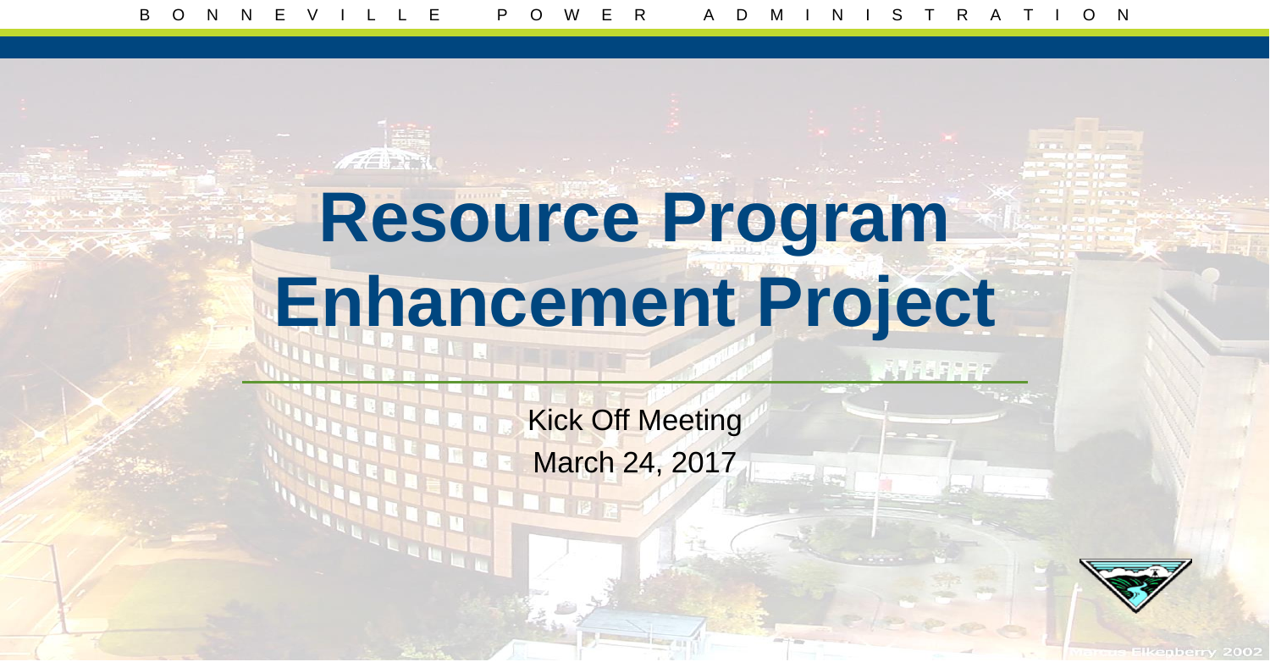# **Resource Program Enhancement Project**

Kick Off Meeting March 24, 2017

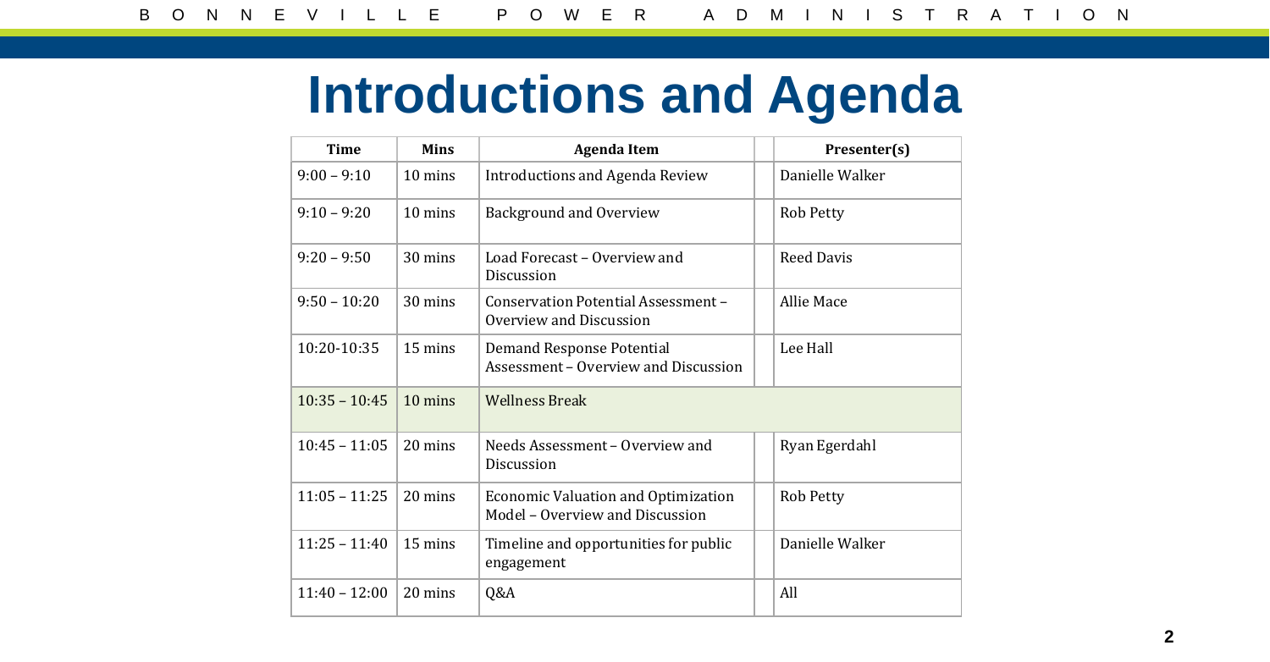### **Introductions and Agenda**

| <b>Time</b>     | <b>Mins</b>       | <b>Agenda Item</b>                                                     | Presenter(s)      |
|-----------------|-------------------|------------------------------------------------------------------------|-------------------|
| $9:00 - 9:10$   | 10 mins           | Introductions and Agenda Review                                        | Danielle Walker   |
| $9:10 - 9:20$   | $10 \text{ mins}$ | Background and Overview                                                | <b>Rob Petty</b>  |
| $9:20 - 9:50$   | $30 \text{ mins}$ | Load Forecast – Overview and<br>Discussion                             | <b>Reed Davis</b> |
| $9:50 - 10:20$  | $30 \text{ mins}$ | Conservation Potential Assessment -<br>Overview and Discussion         | Allie Mace        |
| 10:20-10:35     | 15 mins           | Demand Response Potential<br>Assessment - Overview and Discussion      | Lee Hall          |
| $10:35 - 10:45$ | 10 mins           | <b>Wellness Break</b>                                                  |                   |
| $10:45 - 11:05$ | 20 mins           | Needs Assessment - Overview and<br>Discussion                          | Ryan Egerdahl     |
| $11:05 - 11:25$ | 20 mins           | Economic Valuation and Optimization<br>Model - Overview and Discussion | <b>Rob Petty</b>  |
| $11:25 - 11:40$ | 15 mins           | Timeline and opportunities for public<br>engagement                    | Danielle Walker   |
| $11:40 - 12:00$ | 20 mins           | Q&A                                                                    | All               |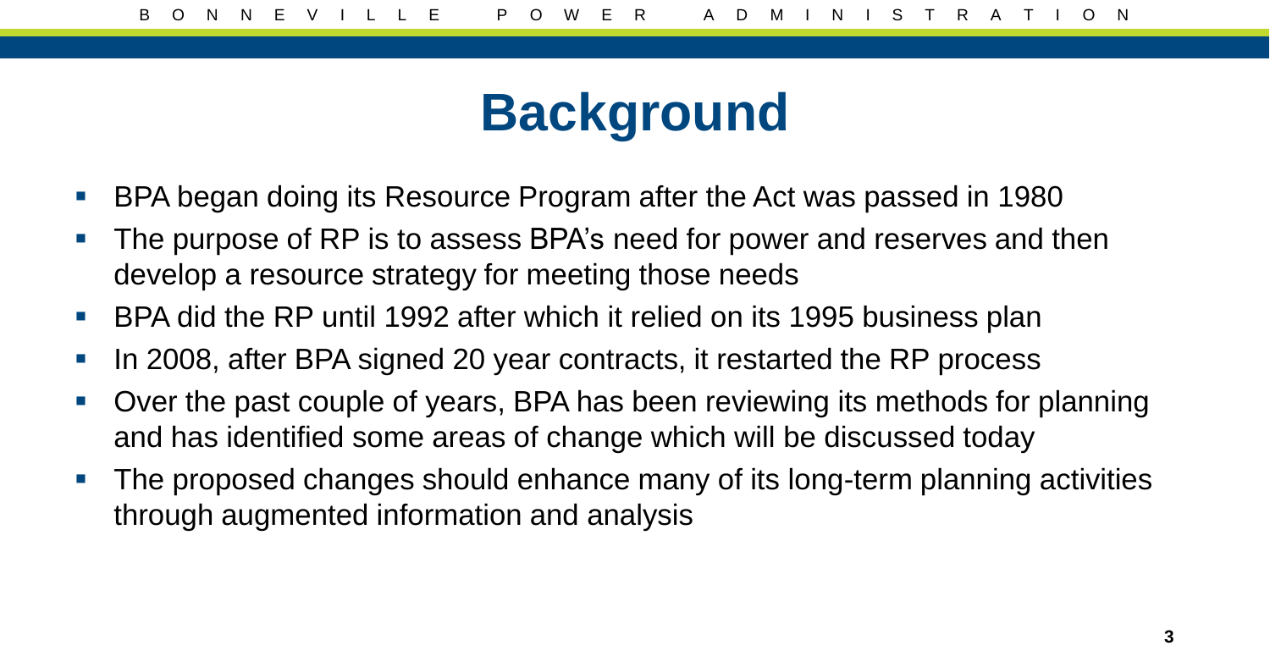#### **Background**

- **BPA began doing its Resource Program after the Act was passed in 1980**
- **The purpose of RP is to assess BPA's need for power and reserves and then** develop a resource strategy for meeting those needs
- BPA did the RP until 1992 after which it relied on its 1995 business plan
- In 2008, after BPA signed 20 year contracts, it restarted the RP process
- Over the past couple of years, BPA has been reviewing its methods for planning and has identified some areas of change which will be discussed today
- **The proposed changes should enhance many of its long-term planning activities** through augmented information and analysis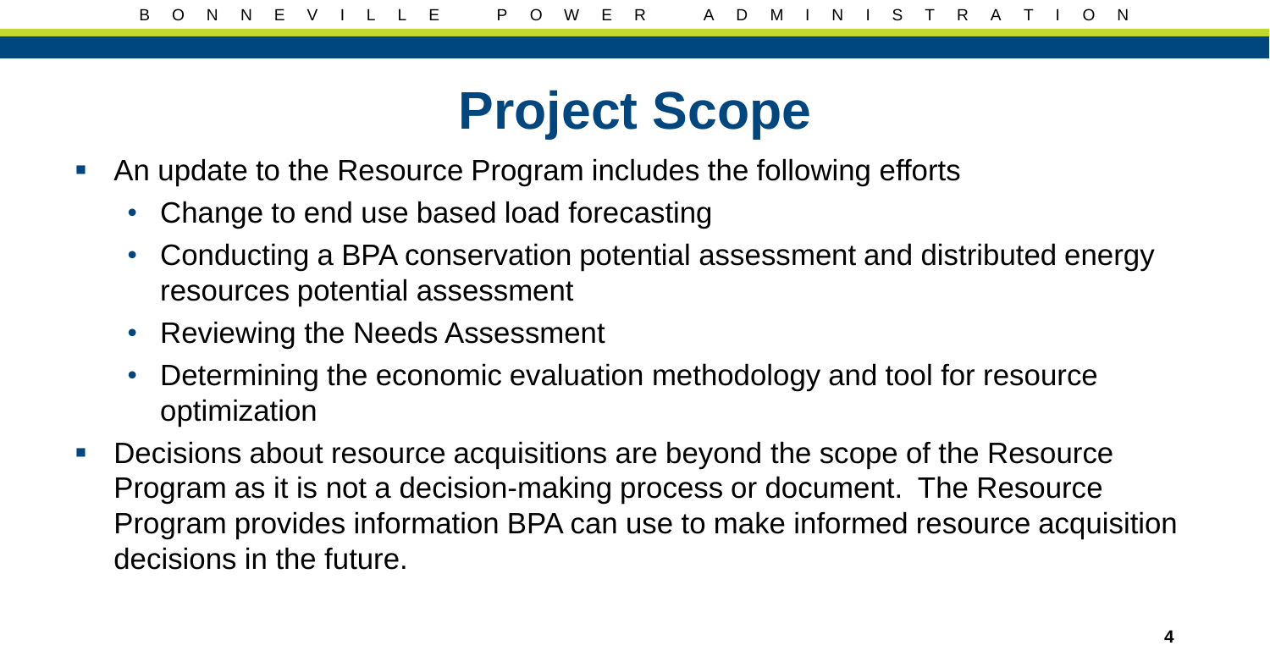#### **Project Scope**

- An update to the Resource Program includes the following efforts
	- Change to end use based load forecasting
	- Conducting a BPA conservation potential assessment and distributed energy resources potential assessment
	- Reviewing the Needs Assessment
	- Determining the economic evaluation methodology and tool for resource optimization
- **Decisions about resource acquisitions are beyond the scope of the Resource** Program as it is not a decision-making process or document. The Resource Program provides information BPA can use to make informed resource acquisition decisions in the future.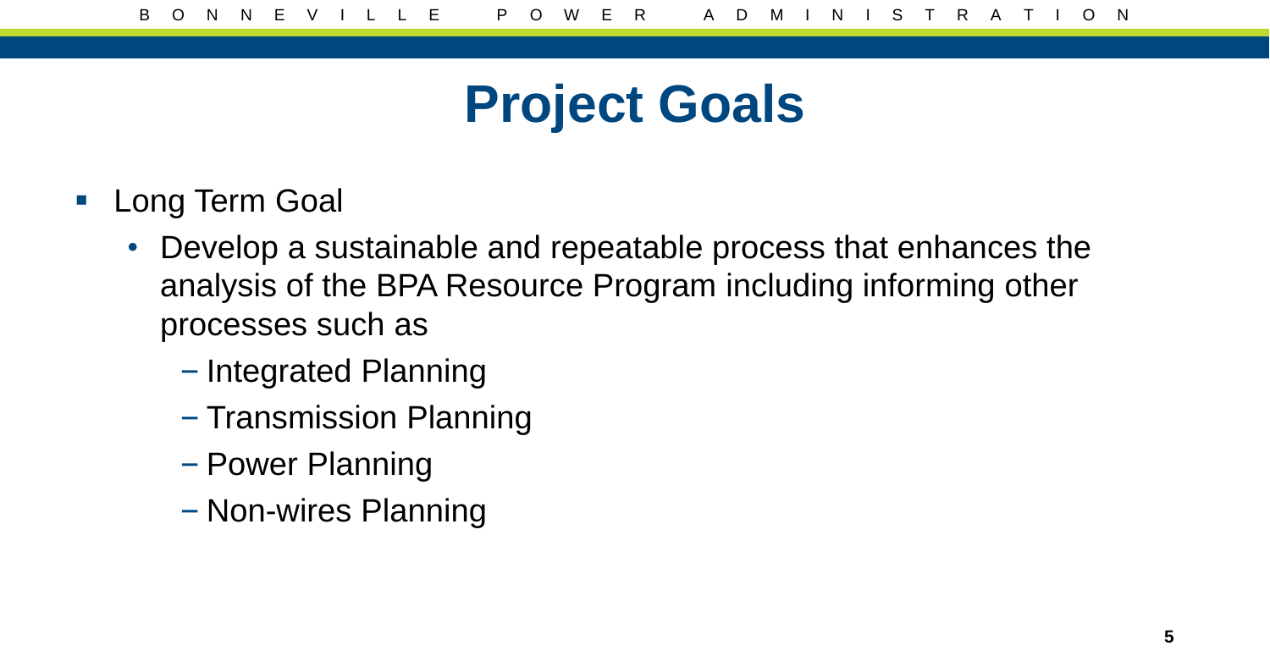#### **Project Goals**

- **Long Term Goal** 
	- Develop a sustainable and repeatable process that enhances the analysis of the BPA Resource Program including informing other processes such as
		- Integrated Planning
		- Transmission Planning
		- Power Planning
		- Non-wires Planning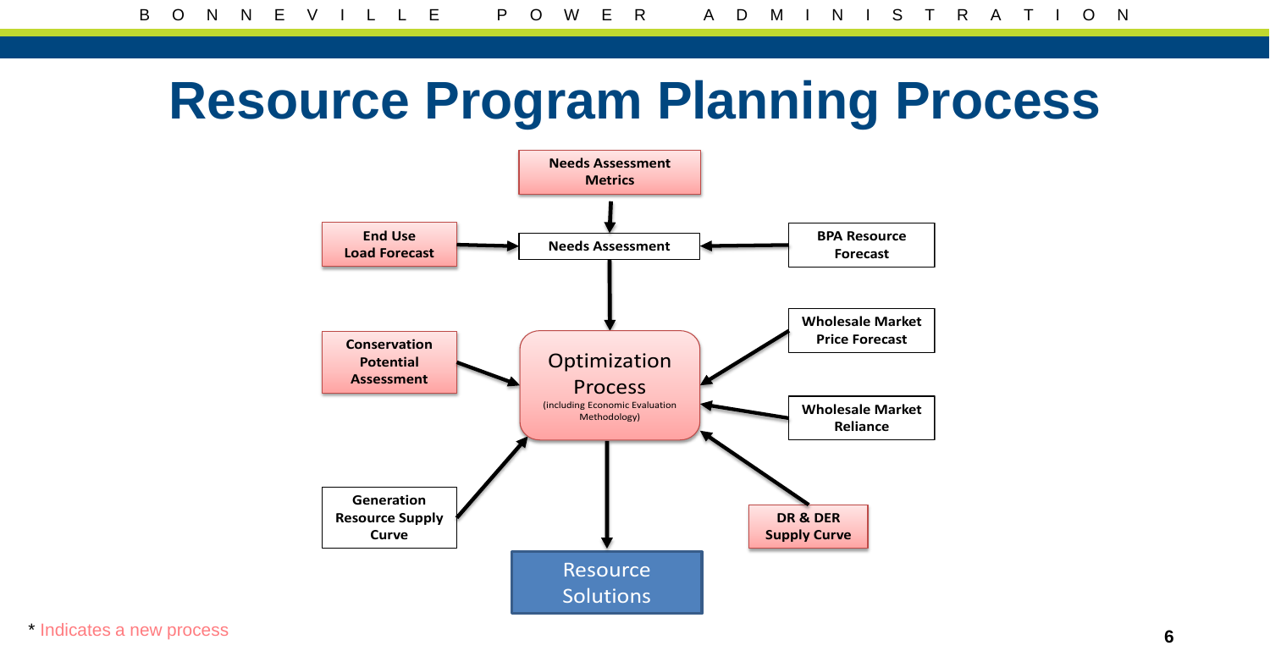## **Resource Program Planning Process**



\* Indicates a new process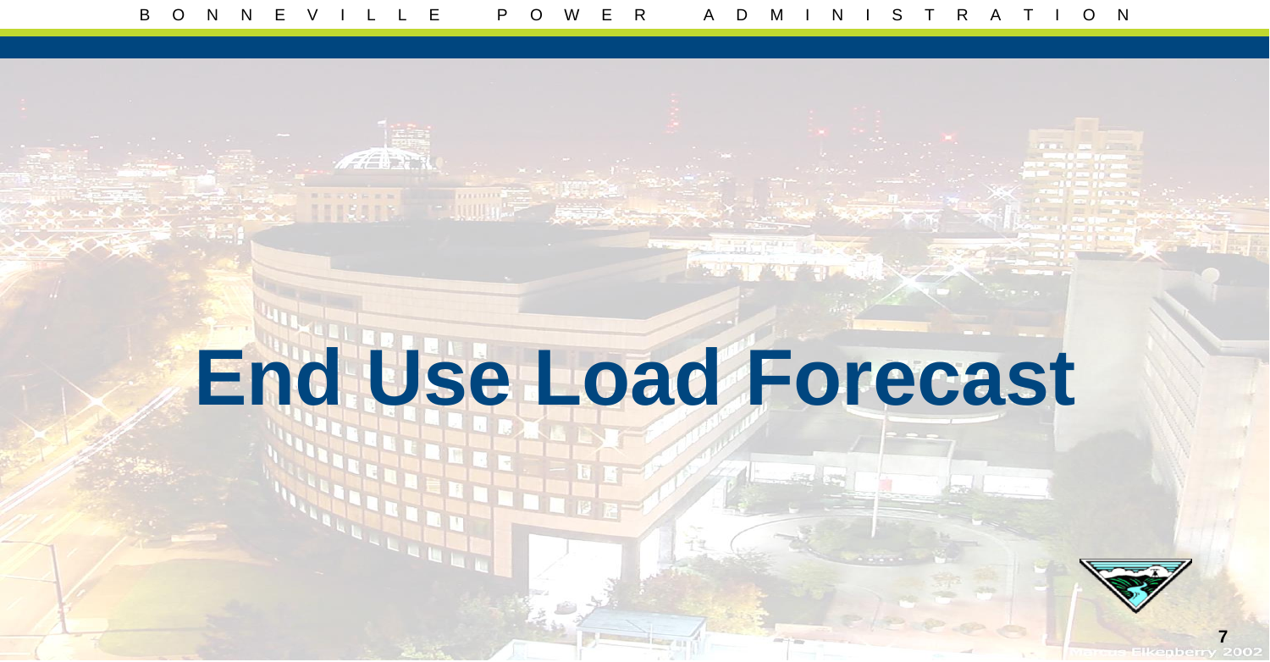# **End Use Load Forecast**

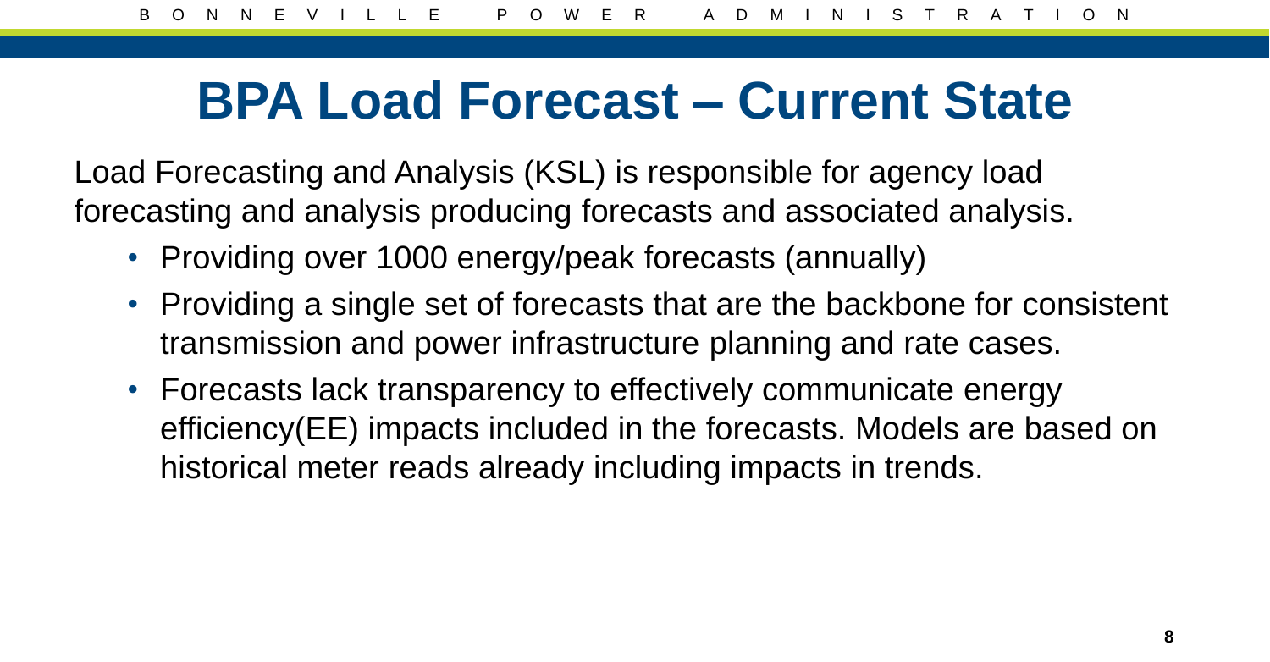#### **BPA Load Forecast – Current State**

Load Forecasting and Analysis (KSL) is responsible for agency load forecasting and analysis producing forecasts and associated analysis.

- Providing over 1000 energy/peak forecasts (annually)
- Providing a single set of forecasts that are the backbone for consistent transmission and power infrastructure planning and rate cases.
- Forecasts lack transparency to effectively communicate energy efficiency(EE) impacts included in the forecasts. Models are based on historical meter reads already including impacts in trends.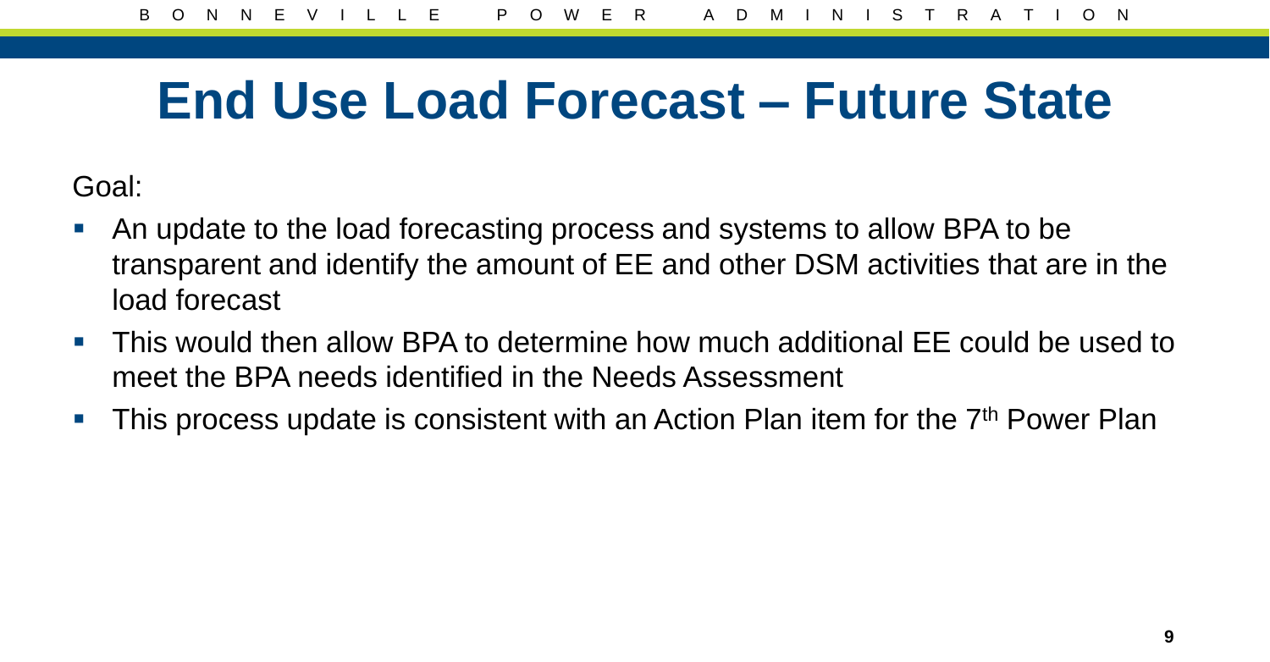#### **End Use Load Forecast – Future State**

Goal:

- An update to the load forecasting process and systems to allow BPA to be transparent and identify the amount of EE and other DSM activities that are in the load forecast
- This would then allow BPA to determine how much additional EE could be used to meet the BPA needs identified in the Needs Assessment
- This process update is consistent with an Action Plan item for the  $7<sup>th</sup>$  Power Plan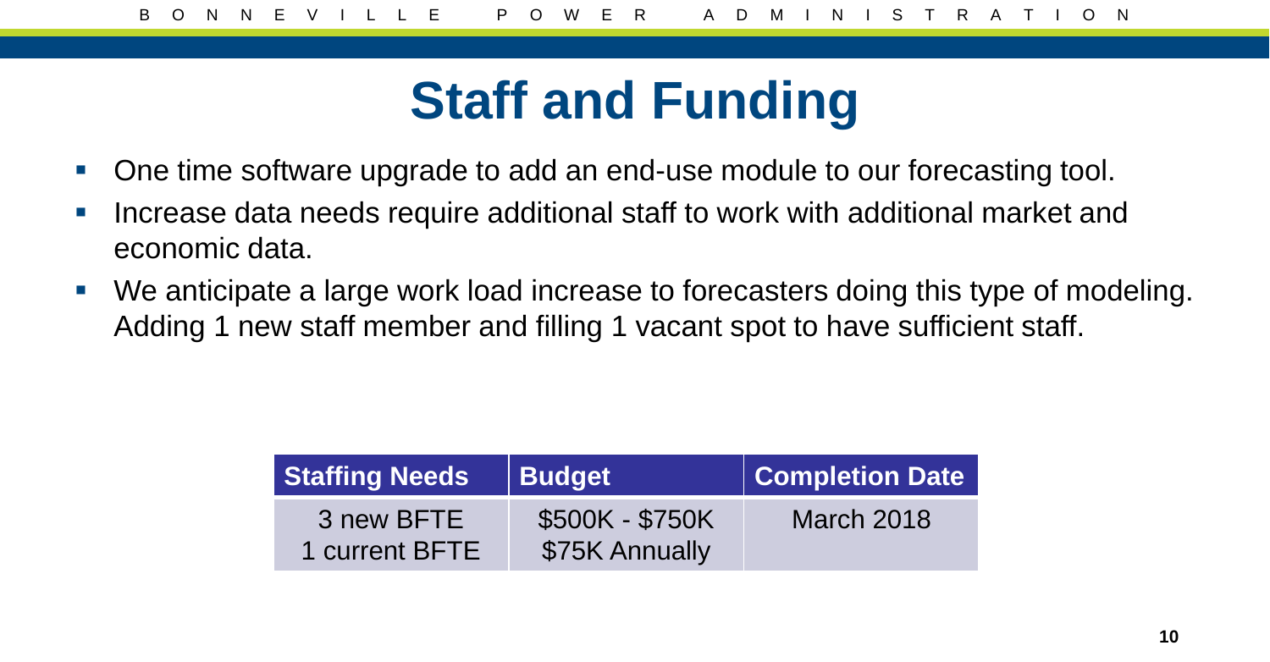## **Staff and Funding**

- One time software upgrade to add an end-use module to our forecasting tool.
- **Increase data needs require additional staff to work with additional market and** economic data.
- We anticipate a large work load increase to forecasters doing this type of modeling. Adding 1 new staff member and filling 1 vacant spot to have sufficient staff.

| <b>Staffing Needs</b>        | <b>Budget</b>                     | <b>Completion Date</b> |
|------------------------------|-----------------------------------|------------------------|
| 3 new BFTE<br>1 current BFTE | \$500K - \$750K<br>\$75K Annually | <b>March 2018</b>      |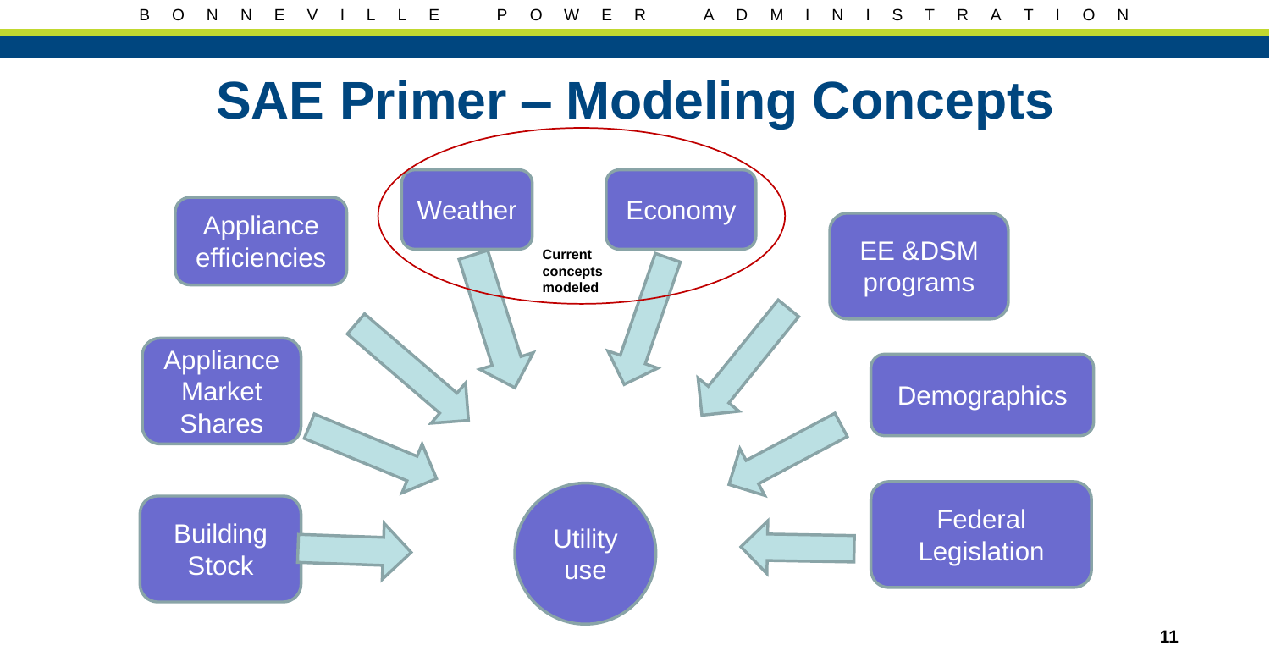## **SAE Primer – Modeling Concepts**

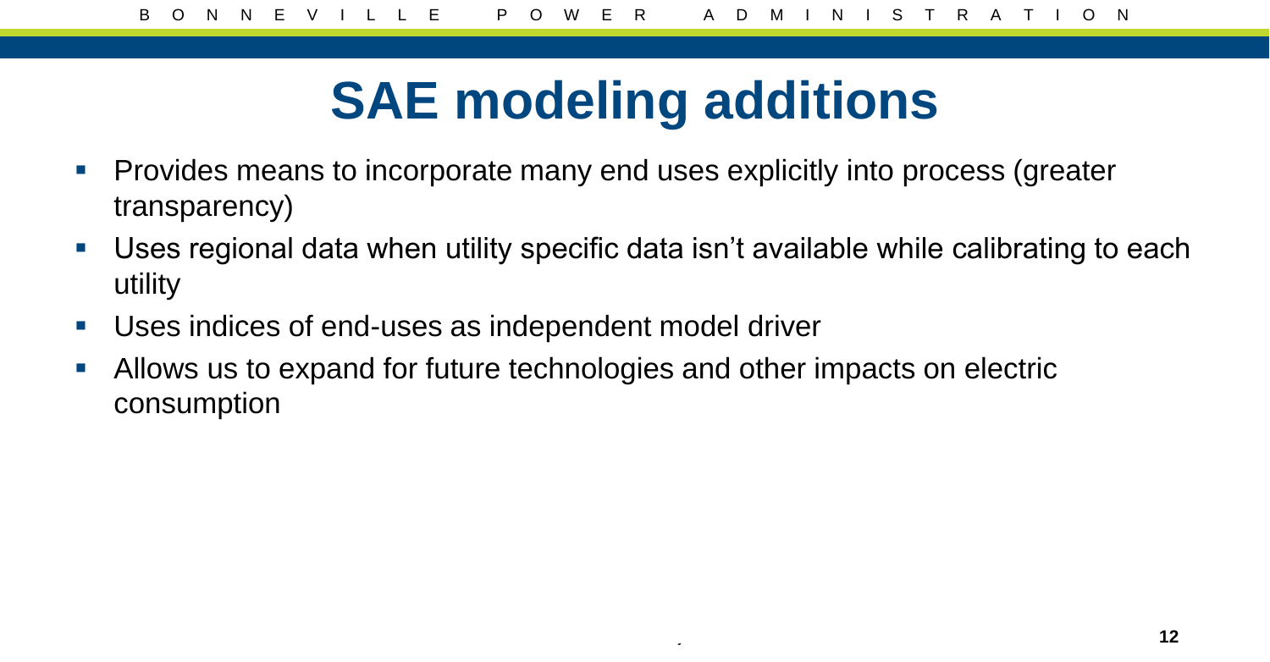## **SAE modeling additions**

- **Provides means to incorporate many end uses explicitly into process (greater** transparency)
- Uses regional data when utility specific data isn't available while calibrating to each utility
- Uses indices of end-uses as independent model driver
- Allows us to expand for future technologies and other impacts on electric consumption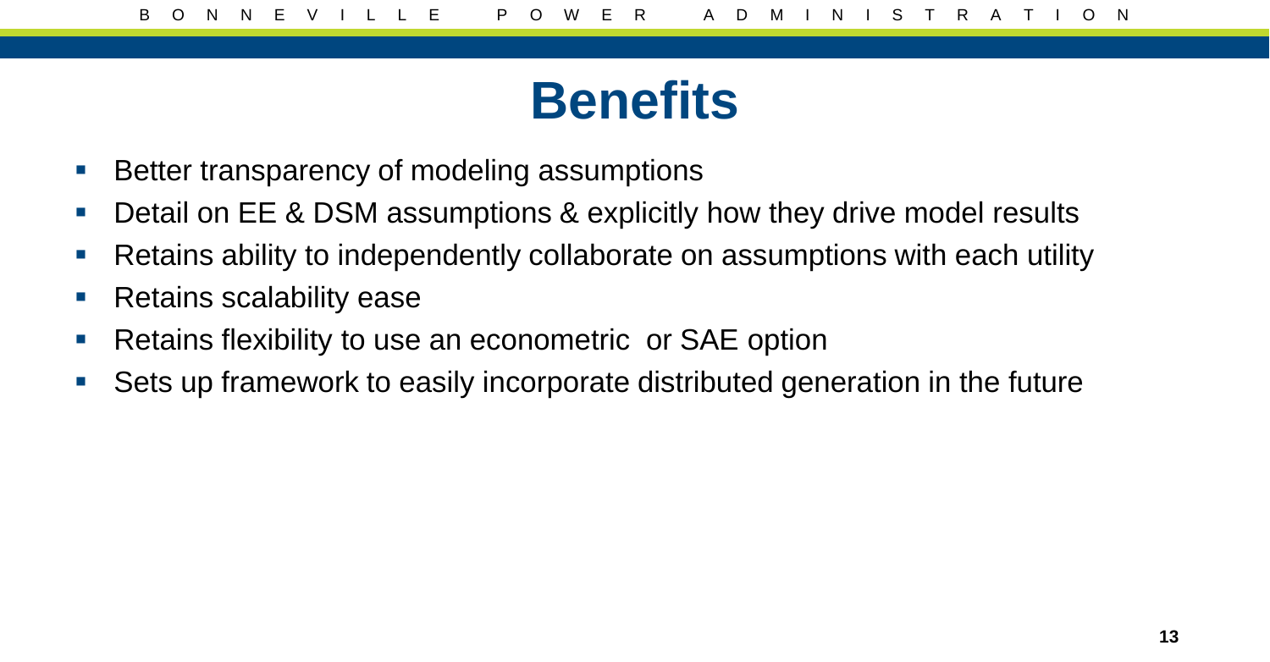#### **Benefits**

- **Better transparency of modeling assumptions**
- Detail on EE & DSM assumptions & explicitly how they drive model results
- Retains ability to independently collaborate on assumptions with each utility
- **Retains scalability ease**
- **Retains flexibility to use an econometric or SAE option**
- Sets up framework to easily incorporate distributed generation in the future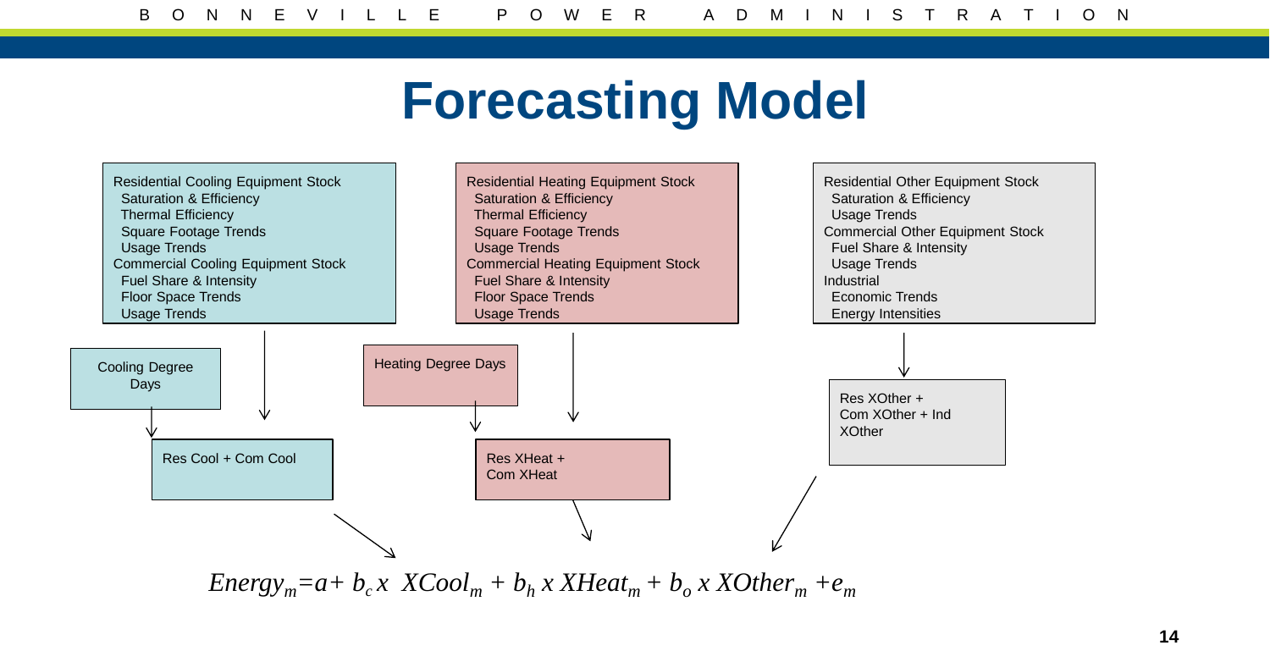#### **Forecasting Model**

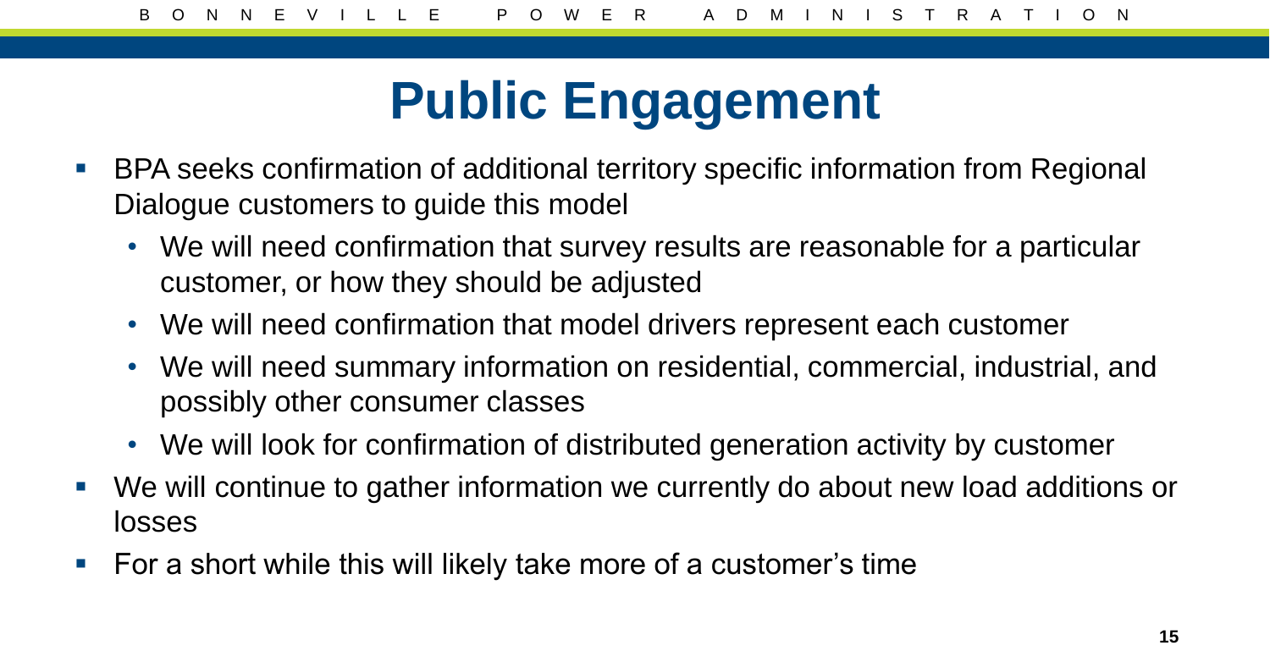## **Public Engagement**

- **BPA seeks confirmation of additional territory specific information from Regional** Dialogue customers to guide this model
	- We will need confirmation that survey results are reasonable for a particular customer, or how they should be adjusted
	- We will need confirmation that model drivers represent each customer
	- We will need summary information on residential, commercial, industrial, and possibly other consumer classes
	- We will look for confirmation of distributed generation activity by customer
- We will continue to gather information we currently do about new load additions or losses
- For a short while this will likely take more of a customer's time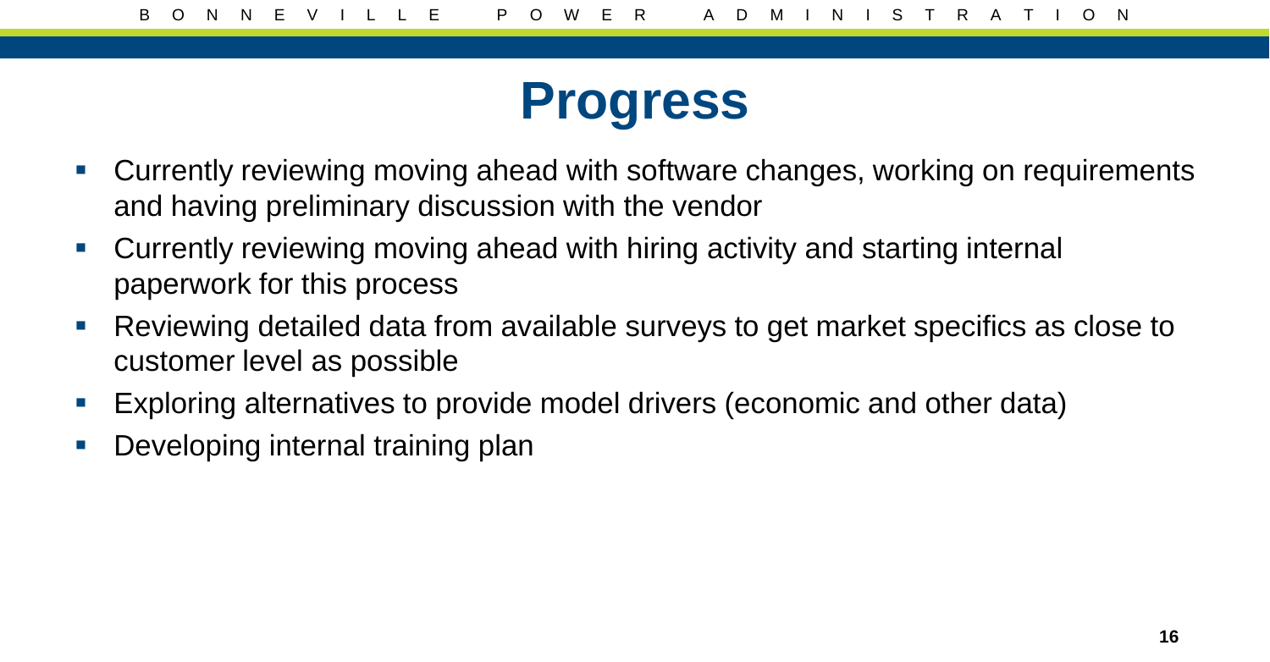#### **Progress**

- Currently reviewing moving ahead with software changes, working on requirements and having preliminary discussion with the vendor
- Currently reviewing moving ahead with hiring activity and starting internal paperwork for this process
- Reviewing detailed data from available surveys to get market specifics as close to customer level as possible
- **Exploring alternatives to provide model drivers (economic and other data)**
- **Developing internal training plan**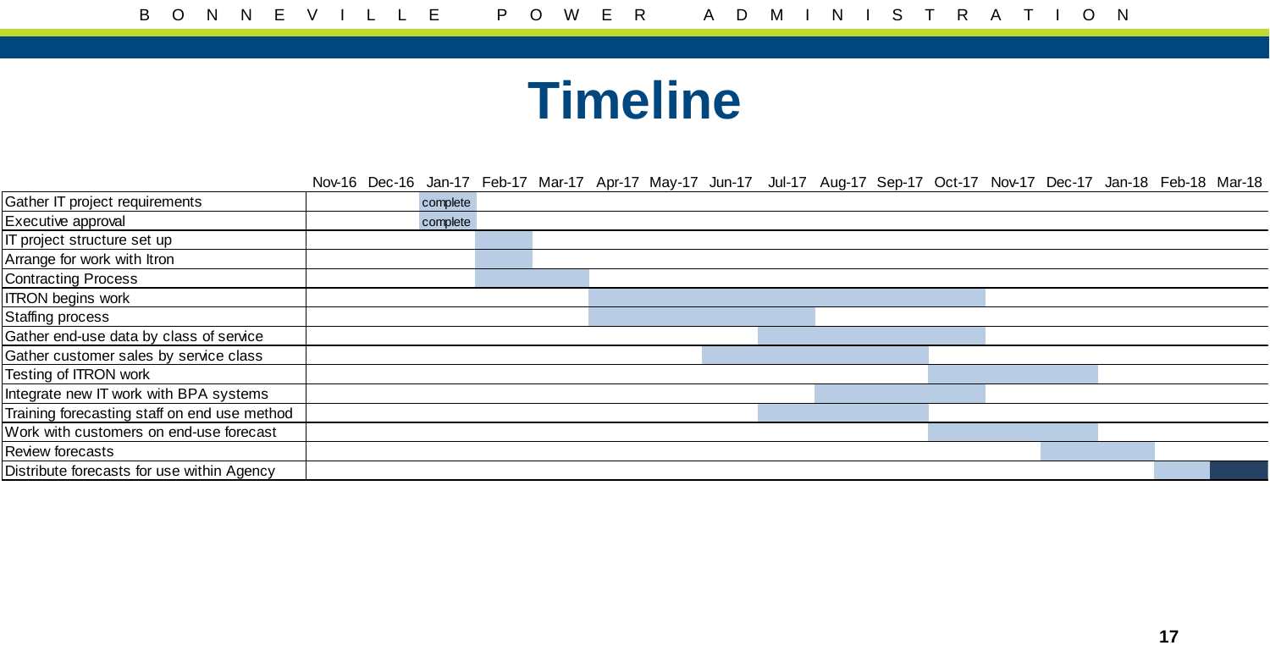#### **Timeline**

Nov-16 Dec-16 Jan-17 Feb-17 Mar-17 Apr-17 May-17 Jun-17 Jul-17 Aug-17 Sep-17 Oct-17 Nov-17 Dec-17 Jan-18 Feb-18 Mar-18

| Gather IT project requirements               | complete |  |  |  |  |
|----------------------------------------------|----------|--|--|--|--|
| Executive approval                           | complete |  |  |  |  |
| IT project structure set up                  |          |  |  |  |  |
| Arrange for work with Itron                  |          |  |  |  |  |
| <b>Contracting Process</b>                   |          |  |  |  |  |
| <b>ITRON</b> begins work                     |          |  |  |  |  |
| <b>Staffing process</b>                      |          |  |  |  |  |
| Gather end-use data by class of service      |          |  |  |  |  |
| Gather customer sales by service class       |          |  |  |  |  |
| Testing of ITRON work                        |          |  |  |  |  |
| Integrate new IT work with BPA systems       |          |  |  |  |  |
| Training forecasting staff on end use method |          |  |  |  |  |
| Work with customers on end-use forecast      |          |  |  |  |  |
| Review forecasts                             |          |  |  |  |  |
| Distribute forecasts for use within Agency   |          |  |  |  |  |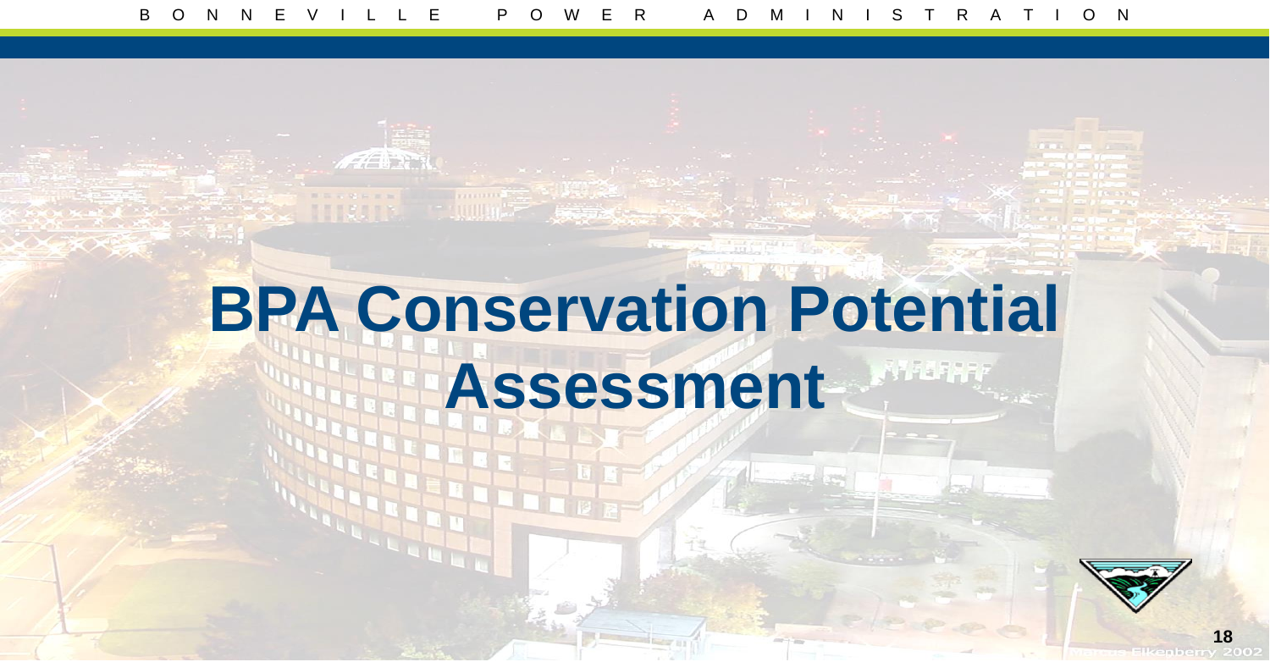## **BPA Conservation Potential Assessment**

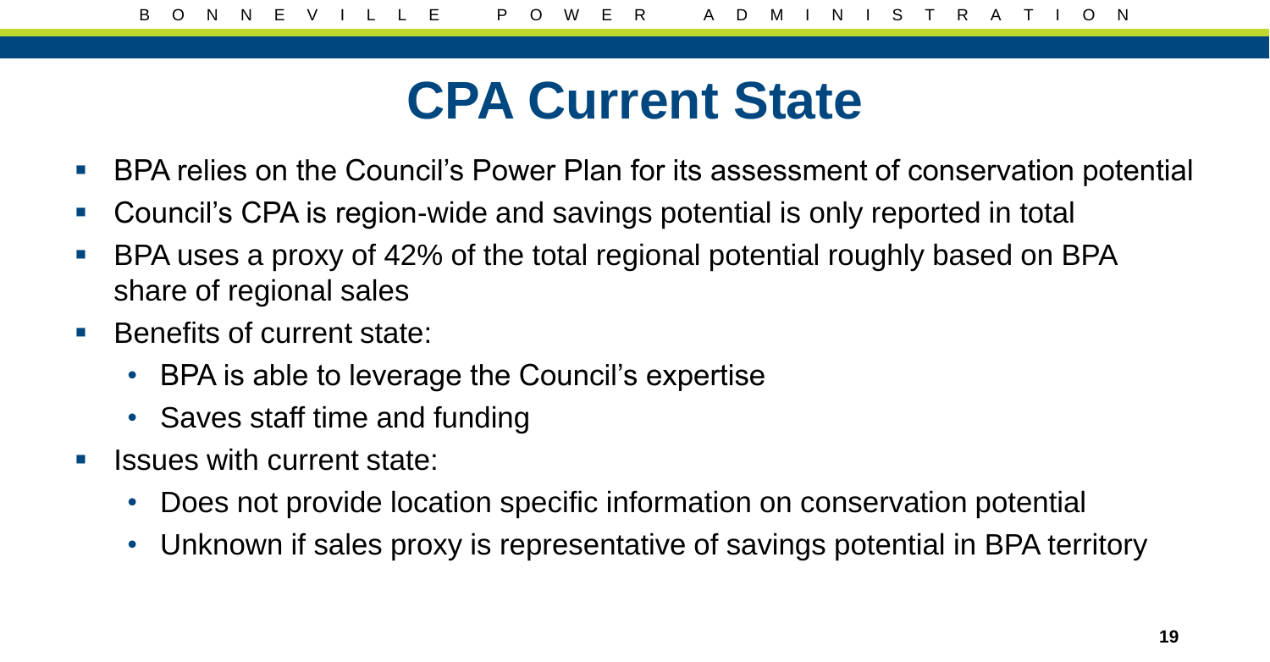#### **CPA Current State**

- **BPA relies on the Council's Power Plan for its assessment of conservation potential**
- Council's CPA is region-wide and savings potential is only reported in total
- BPA uses a proxy of 42% of the total regional potential roughly based on BPA share of regional sales
- Benefits of current state:
	- BPA is able to leverage the Council's expertise
	- Saves staff time and funding
- $\blacksquare$  Issues with current state:
	- Does not provide location specific information on conservation potential
	- Unknown if sales proxy is representative of savings potential in BPA territory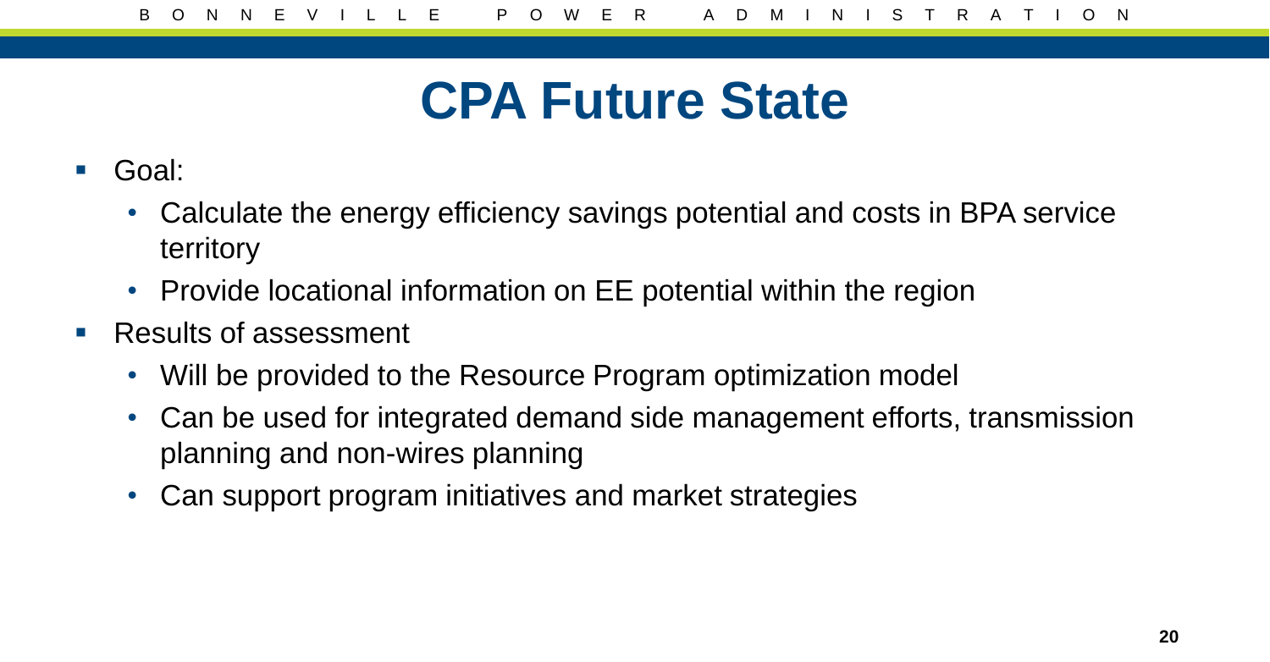#### **CPA Future State**

- Goal:
	- Calculate the energy efficiency savings potential and costs in BPA service territory
	- Provide locational information on EE potential within the region
- Results of assessment
	- Will be provided to the Resource Program optimization model
	- Can be used for integrated demand side management efforts, transmission planning and non-wires planning
	- Can support program initiatives and market strategies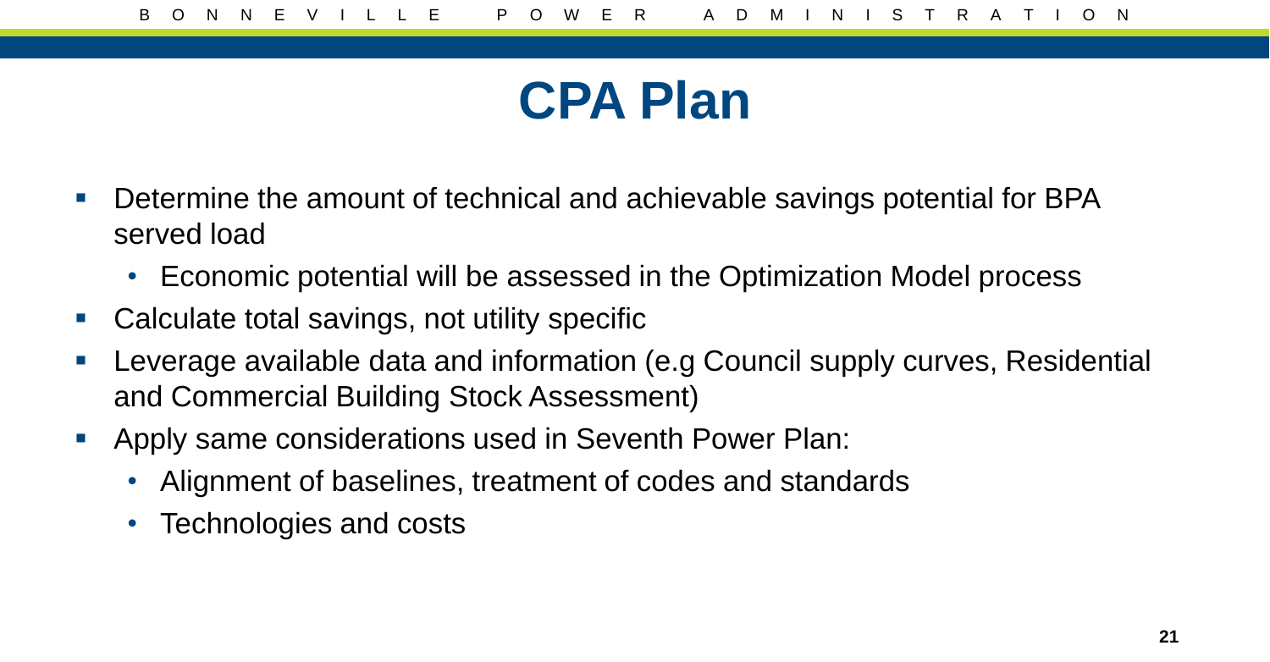#### **CPA Plan**

- Determine the amount of technical and achievable savings potential for BPA served load
	- Economic potential will be assessed in the Optimization Model process
- Calculate total savings, not utility specific
- Leverage available data and information (e.g Council supply curves, Residential and Commercial Building Stock Assessment)
- Apply same considerations used in Seventh Power Plan:
	- Alignment of baselines, treatment of codes and standards
	- Technologies and costs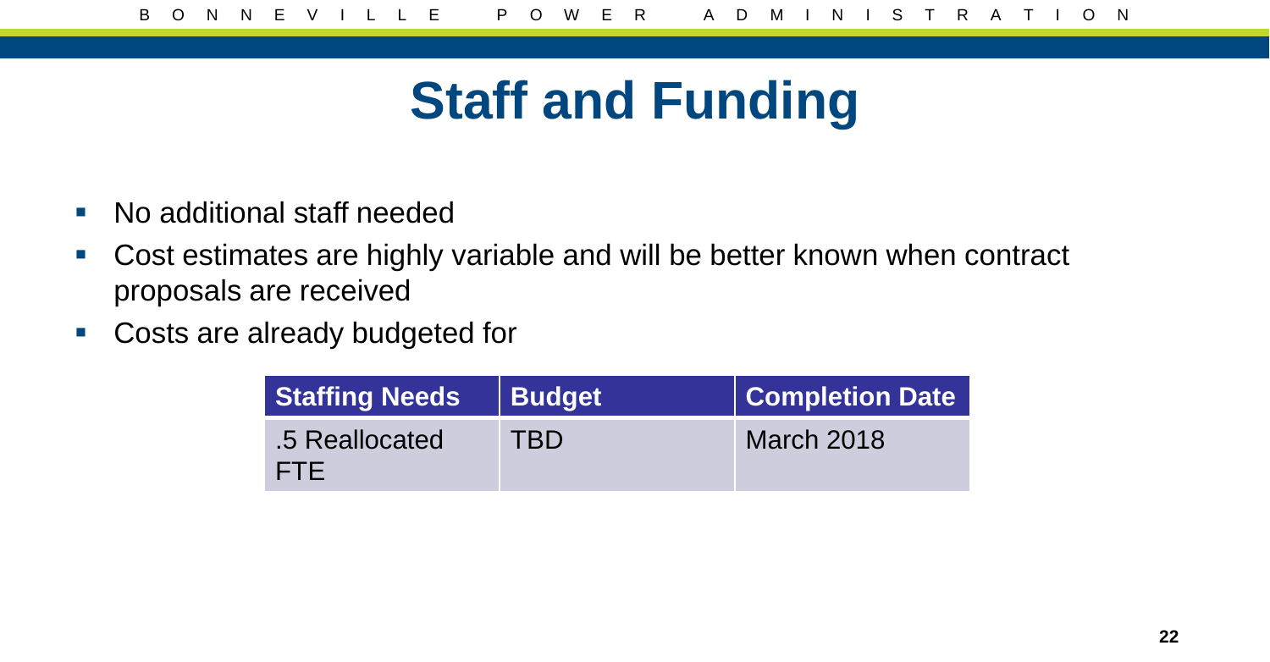## **Staff and Funding**

- No additional staff needed
- Cost estimates are highly variable and will be better known when contract proposals are received
- Costs are already budgeted for

| <b>Staffing Needs</b>  | <b>Budget</b> | $\vert\vert$ Completion Date $\vert\vert$ |
|------------------------|---------------|-------------------------------------------|
| .5 Reallocated<br>FTE. | <b>TBD</b>    | March 2018                                |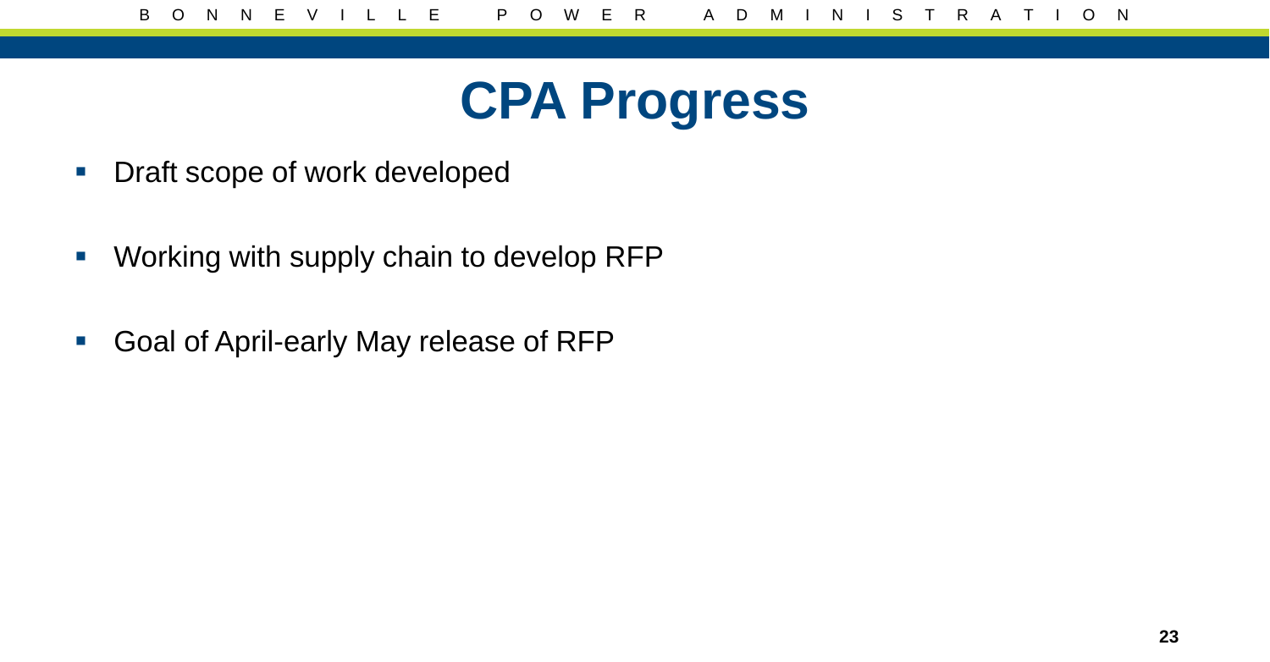

- **Draft scope of work developed**
- **Working with supply chain to develop RFP**
- Goal of April-early May release of RFP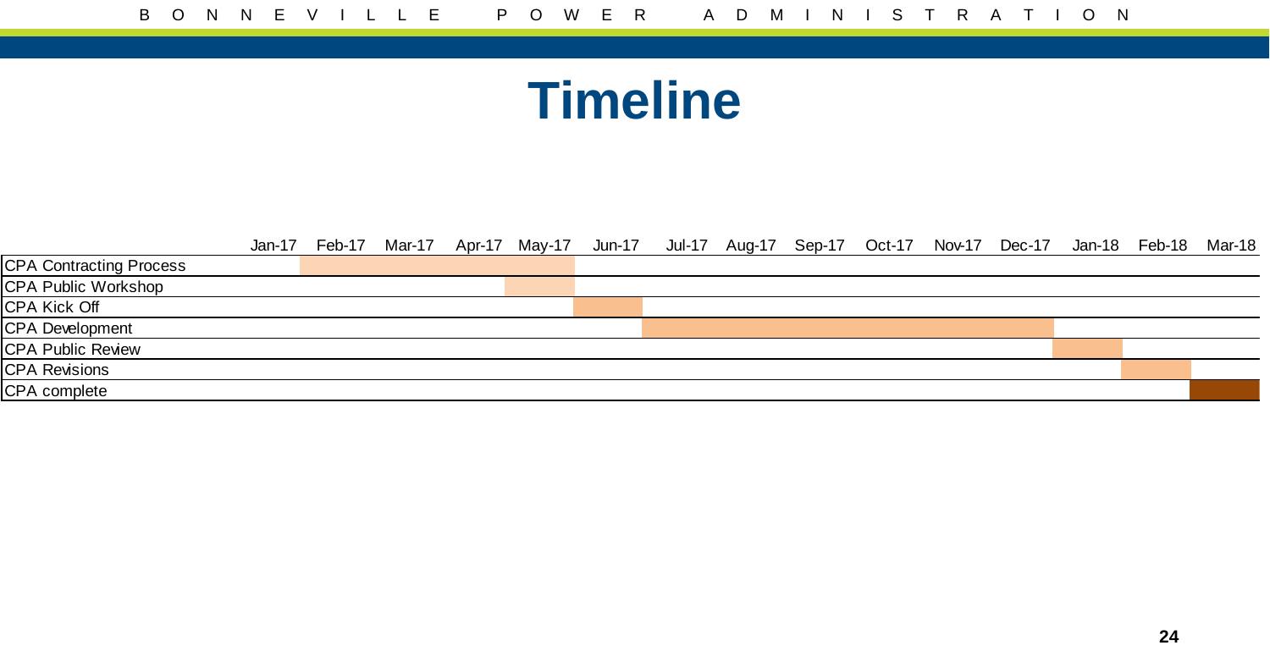#### **Timeline**

|                                | Jan-17 | Feb-17 |  | Mar-17 Apr-17 May-17 Jun-17 Jul-17 Aug-17 Sep-17 Oct-17 Nov-17 Dec-17 Jan-18 Feb-18 |  |  |  |  | Mar-18 |
|--------------------------------|--------|--------|--|-------------------------------------------------------------------------------------|--|--|--|--|--------|
| <b>CPA Contracting Process</b> |        |        |  |                                                                                     |  |  |  |  |        |
| CPA Public Workshop            |        |        |  |                                                                                     |  |  |  |  |        |
| <b>CPA Kick Off</b>            |        |        |  |                                                                                     |  |  |  |  |        |
| CPA Development                |        |        |  |                                                                                     |  |  |  |  |        |
| <b>CPA Public Review</b>       |        |        |  |                                                                                     |  |  |  |  |        |
| <b>CPA Revisions</b>           |        |        |  |                                                                                     |  |  |  |  |        |
| CPA complete                   |        |        |  |                                                                                     |  |  |  |  |        |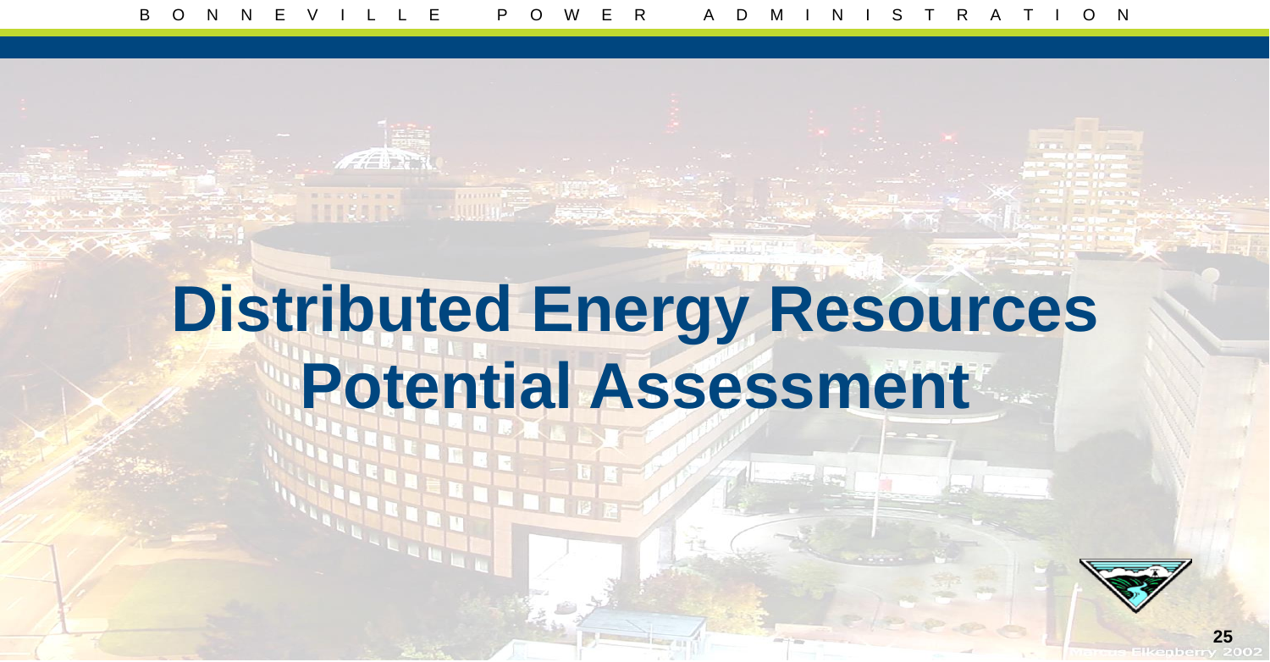## **Distributed Energy Resources Potential Assessment**

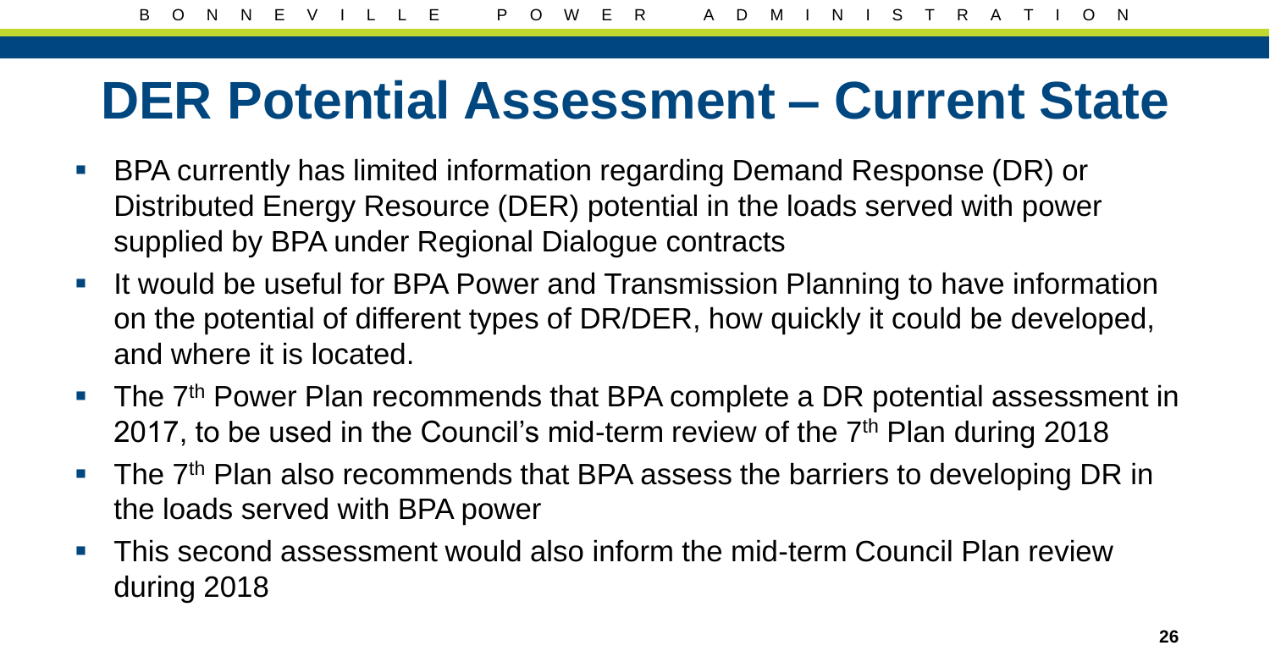#### **DER Potential Assessment – Current State**

- BPA currently has limited information regarding Demand Response (DR) or Distributed Energy Resource (DER) potential in the loads served with power supplied by BPA under Regional Dialogue contracts
- If would be useful for BPA Power and Transmission Planning to have information on the potential of different types of DR/DER, how quickly it could be developed, and where it is located.
- The 7<sup>th</sup> Power Plan recommends that BPA complete a DR potential assessment in 2017, to be used in the Council's mid-term review of the 7<sup>th</sup> Plan during 2018
- The  $7<sup>th</sup>$  Plan also recommends that BPA assess the barriers to developing DR in the loads served with BPA power
- **This second assessment would also inform the mid-term Council Plan review** during 2018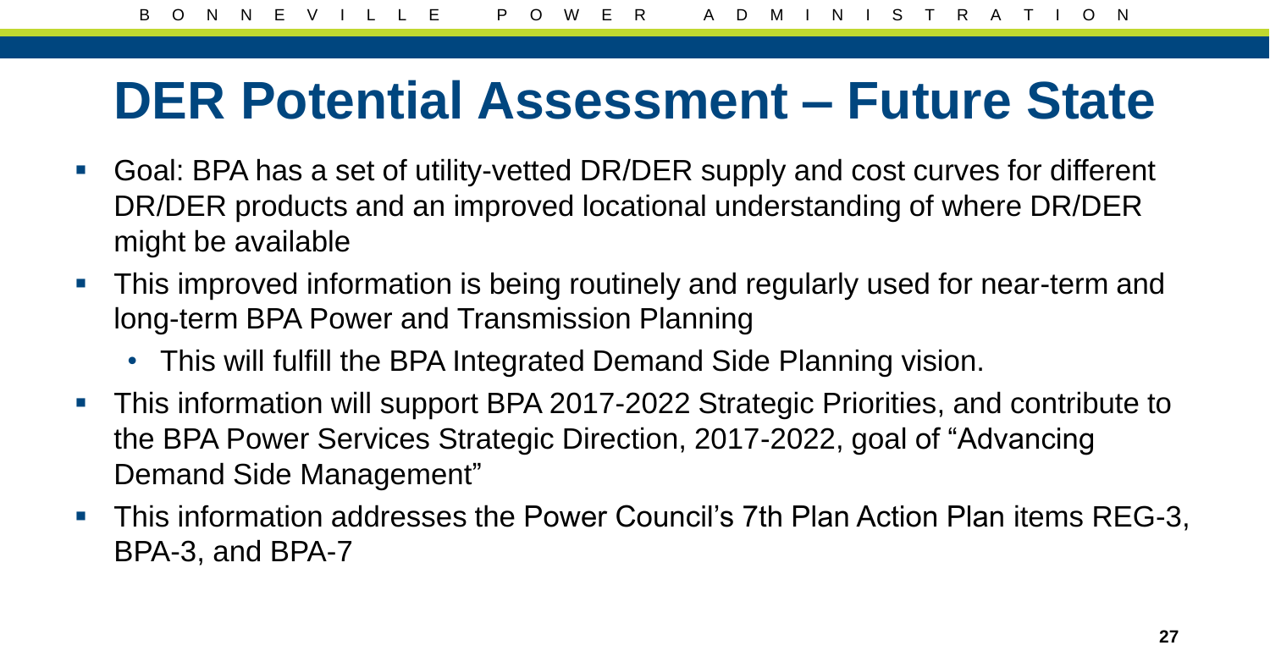#### **DER Potential Assessment – Future State**

- Goal: BPA has a set of utility-vetted DR/DER supply and cost curves for different DR/DER products and an improved locational understanding of where DR/DER might be available
- **This improved information is being routinely and regularly used for near-term and** long-term BPA Power and Transmission Planning
	- This will fulfill the BPA Integrated Demand Side Planning vision.
- **This information will support BPA 2017-2022 Strategic Priorities, and contribute to** the BPA Power Services Strategic Direction, 2017-2022, goal of "Advancing Demand Side Management"
- **This information addresses the Power Council's 7th Plan Action Plan items REG-3,** BPA-3, and BPA-7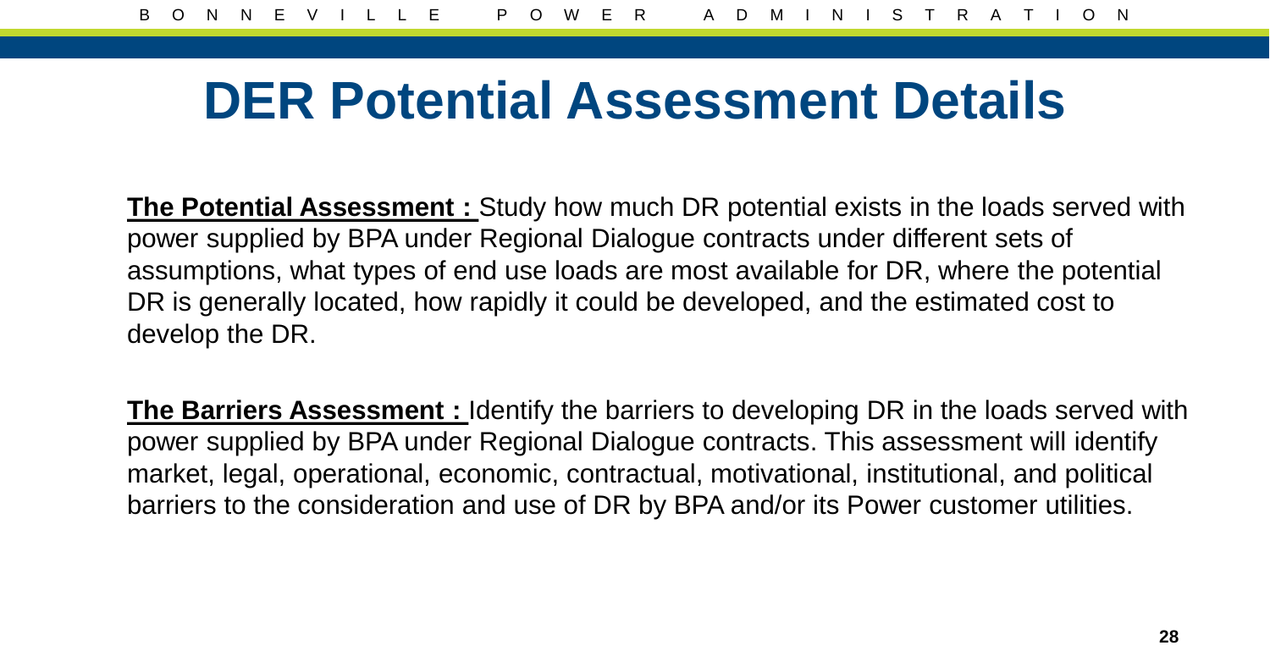#### **DER Potential Assessment Details**

**The Potential Assessment :** Study how much DR potential exists in the loads served with power supplied by BPA under Regional Dialogue contracts under different sets of assumptions, what types of end use loads are most available for DR, where the potential DR is generally located, how rapidly it could be developed, and the estimated cost to develop the DR.

**The Barriers Assessment :** Identify the barriers to developing DR in the loads served with power supplied by BPA under Regional Dialogue contracts. This assessment will identify market, legal, operational, economic, contractual, motivational, institutional, and political barriers to the consideration and use of DR by BPA and/or its Power customer utilities.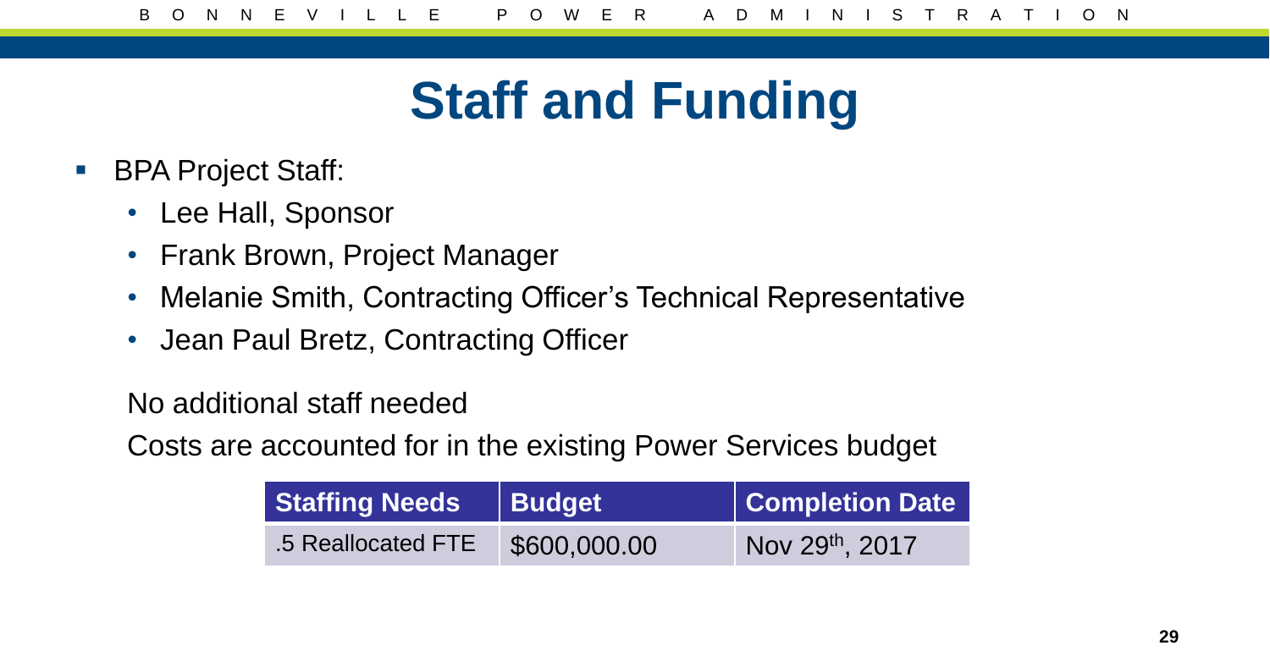## **Staff and Funding**

- BPA Project Staff:
	- Lee Hall, Sponsor
	- Frank Brown, Project Manager
	- Melanie Smith, Contracting Officer's Technical Representative
	- Jean Paul Bretz, Contracting Officer

No additional staff needed

Costs are accounted for in the existing Power Services budget

| Staffing Needs Budget |              | <b>Completion Date</b> |
|-----------------------|--------------|------------------------|
| .5 Reallocated FTE    | \$600,000.00 | Nov 29th, 2017         |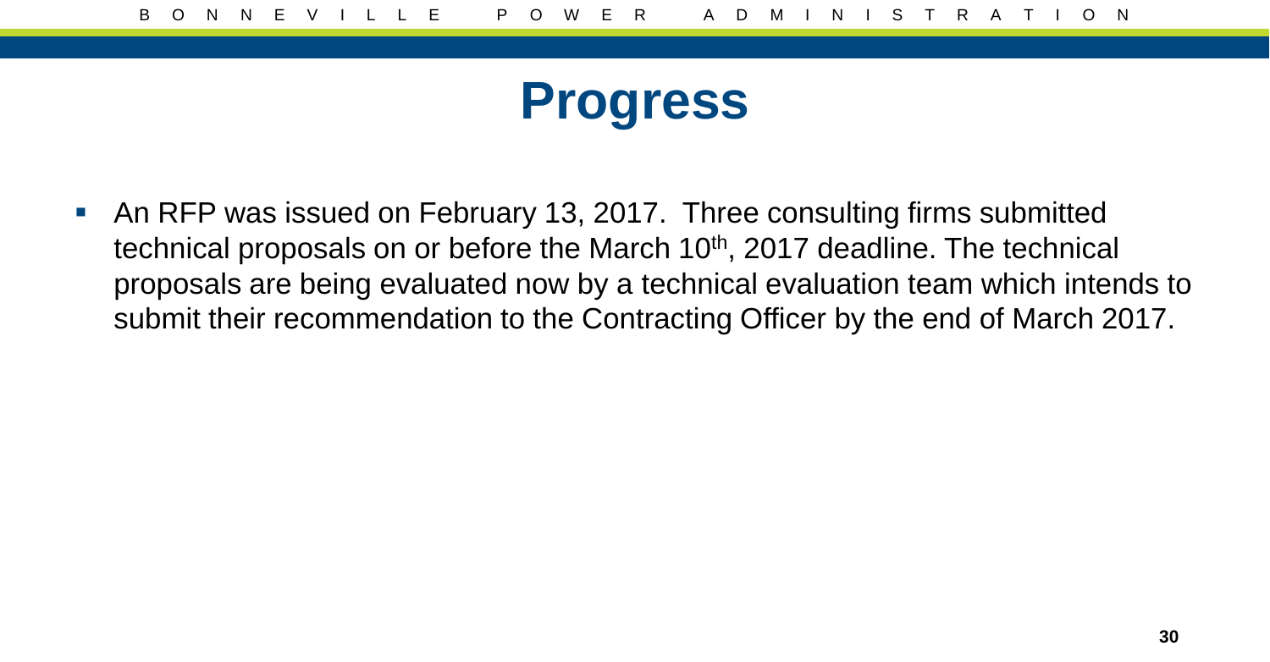#### **Progress**

 An RFP was issued on February 13, 2017. Three consulting firms submitted technical proposals on or before the March  $10<sup>th</sup>$ , 2017 deadline. The technical proposals are being evaluated now by a technical evaluation team which intends to submit their recommendation to the Contracting Officer by the end of March 2017.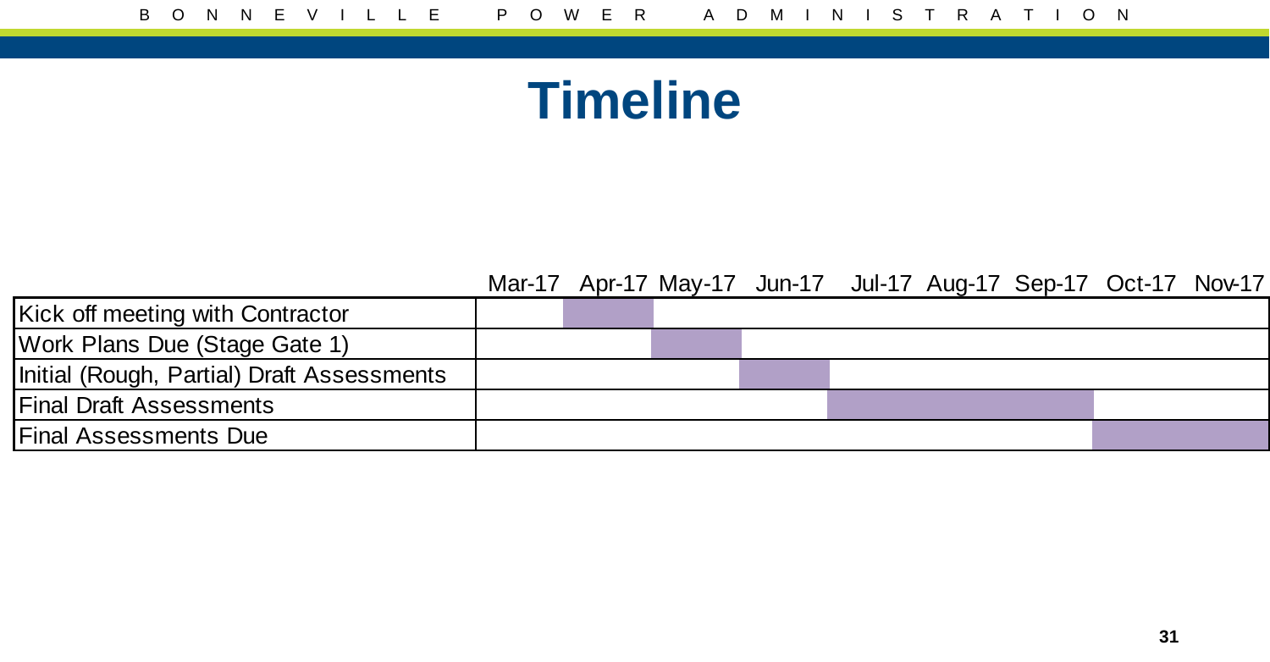#### **Timeline**

Mar-17 Apr-17 May-17 Jun-17 Jul-17 Aug-17 Sep-17 Oct-17 Nov-17

| Kick off meeting with Contractor           |  |  |  |  |
|--------------------------------------------|--|--|--|--|
| Work Plans Due (Stage Gate 1)              |  |  |  |  |
| Initial (Rough, Partial) Draft Assessments |  |  |  |  |
| <b>Final Draft Assessments</b>             |  |  |  |  |
| <b>Final Assessments Due</b>               |  |  |  |  |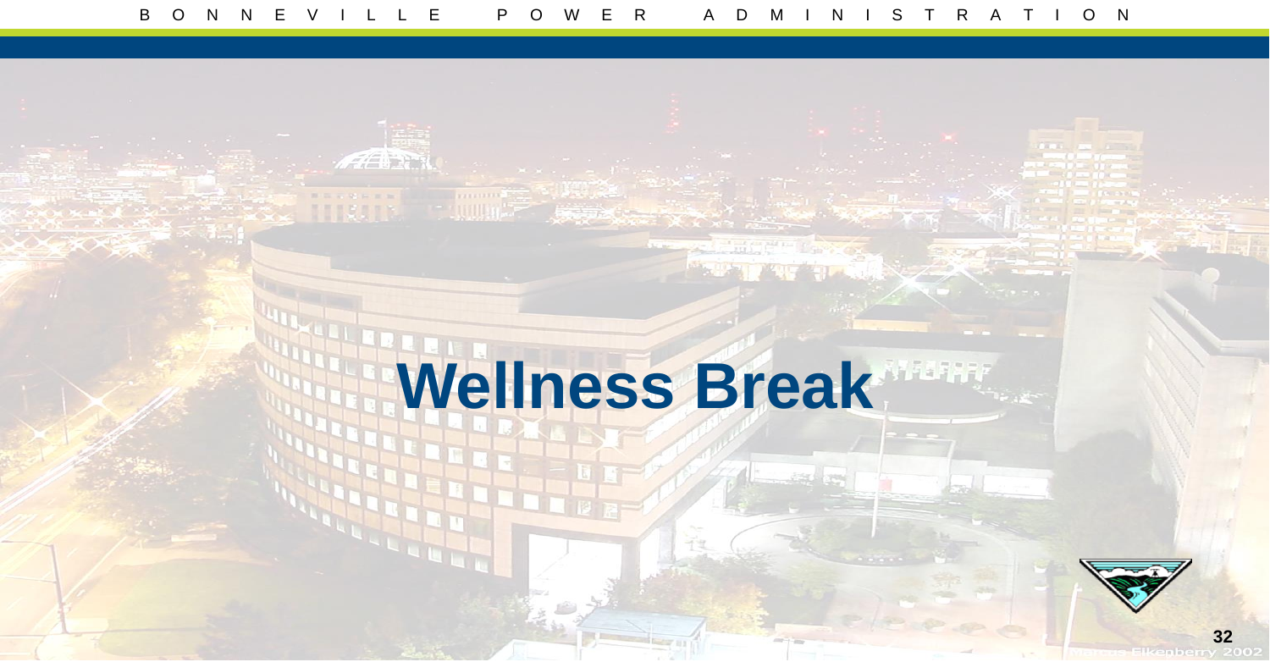**AFRICA** 

# **Wellness Break**

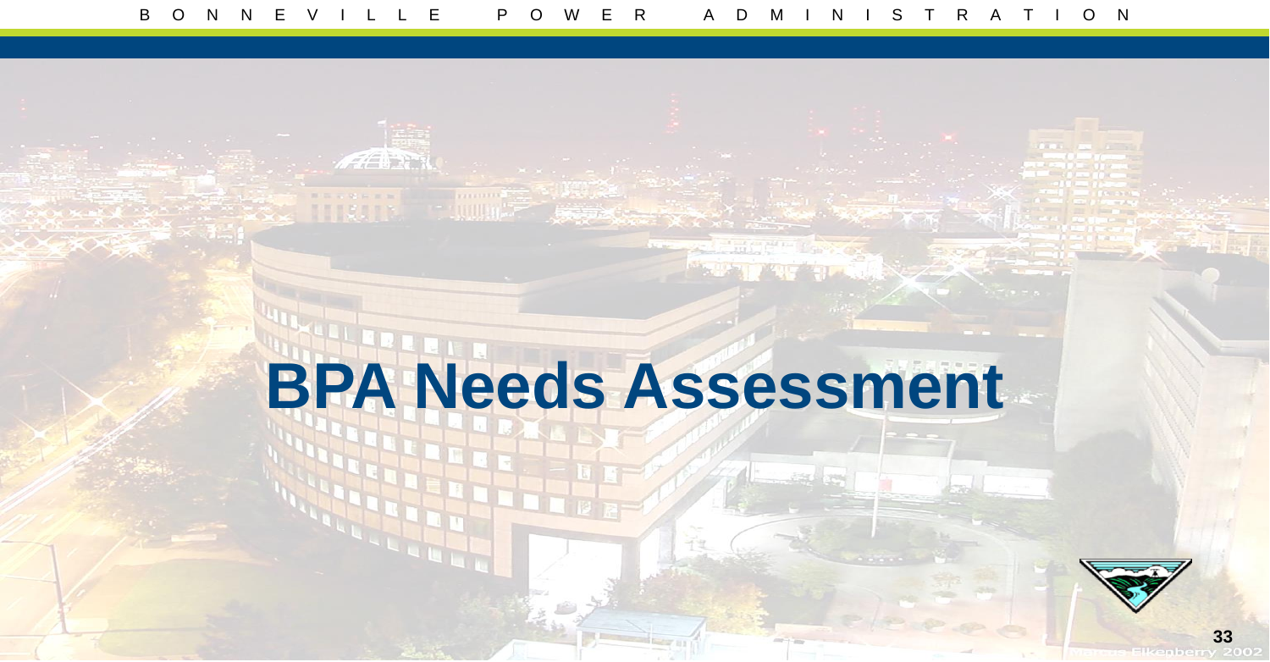**AFTER** 

## **BPA Needs Assessment**

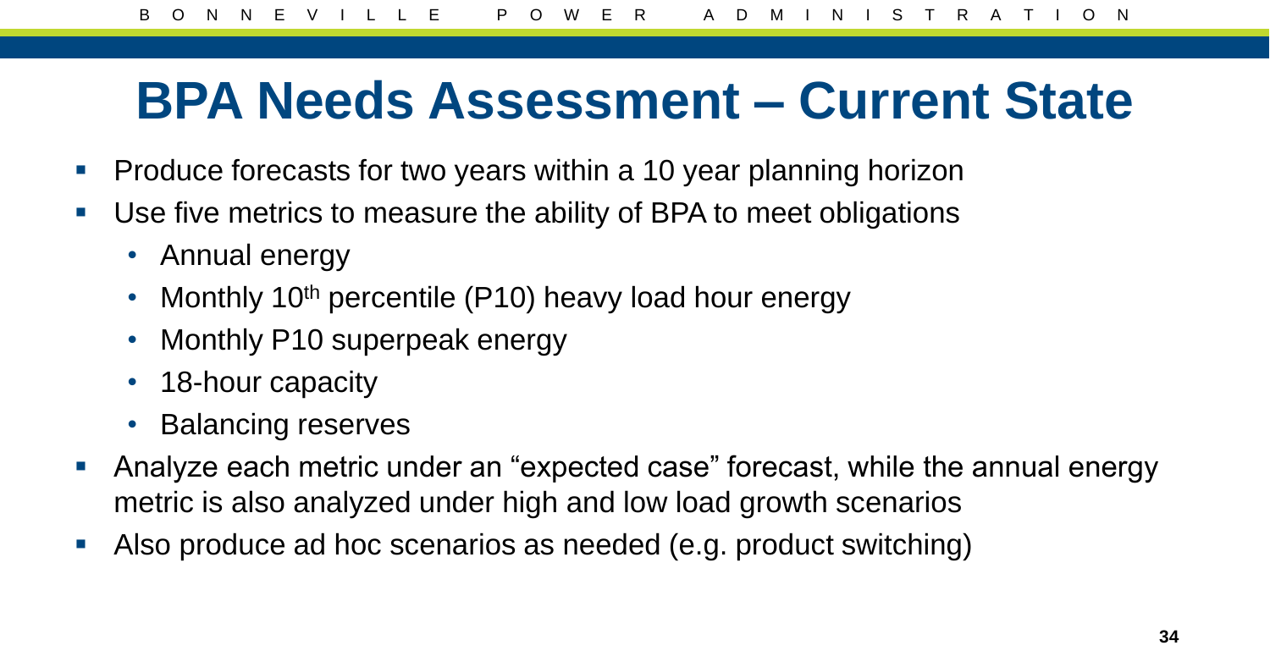#### **BPA Needs Assessment – Current State**

- **Produce forecasts for two years within a 10 year planning horizon**
- Use five metrics to measure the ability of BPA to meet obligations
	- Annual energy
	- Monthly 10<sup>th</sup> percentile (P10) heavy load hour energy
	- Monthly P10 superpeak energy
	- 18-hour capacity
	- Balancing reserves
- Analyze each metric under an "expected case" forecast, while the annual energy metric is also analyzed under high and low load growth scenarios
- Also produce ad hoc scenarios as needed (e.g. product switching)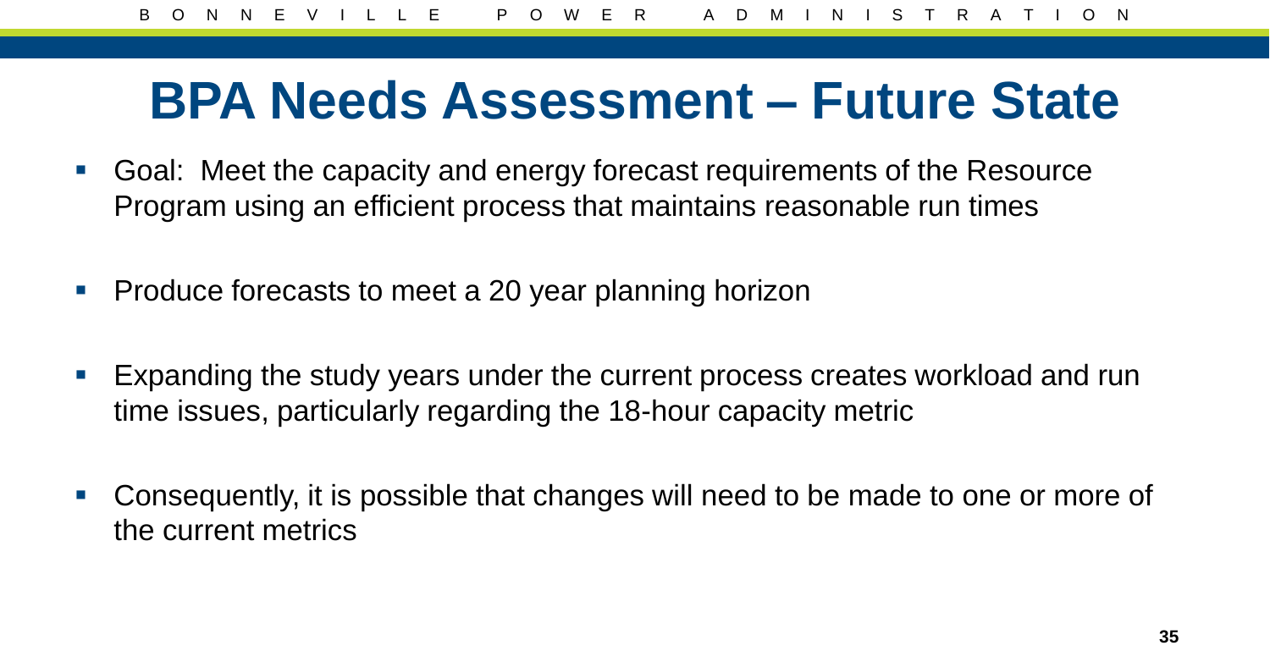#### **BPA Needs Assessment – Future State**

- Goal: Meet the capacity and energy forecast requirements of the Resource Program using an efficient process that maintains reasonable run times
- **Produce forecasts to meet a 20 year planning horizon**
- **Expanding the study years under the current process creates workload and run** time issues, particularly regarding the 18-hour capacity metric
- Consequently, it is possible that changes will need to be made to one or more of the current metrics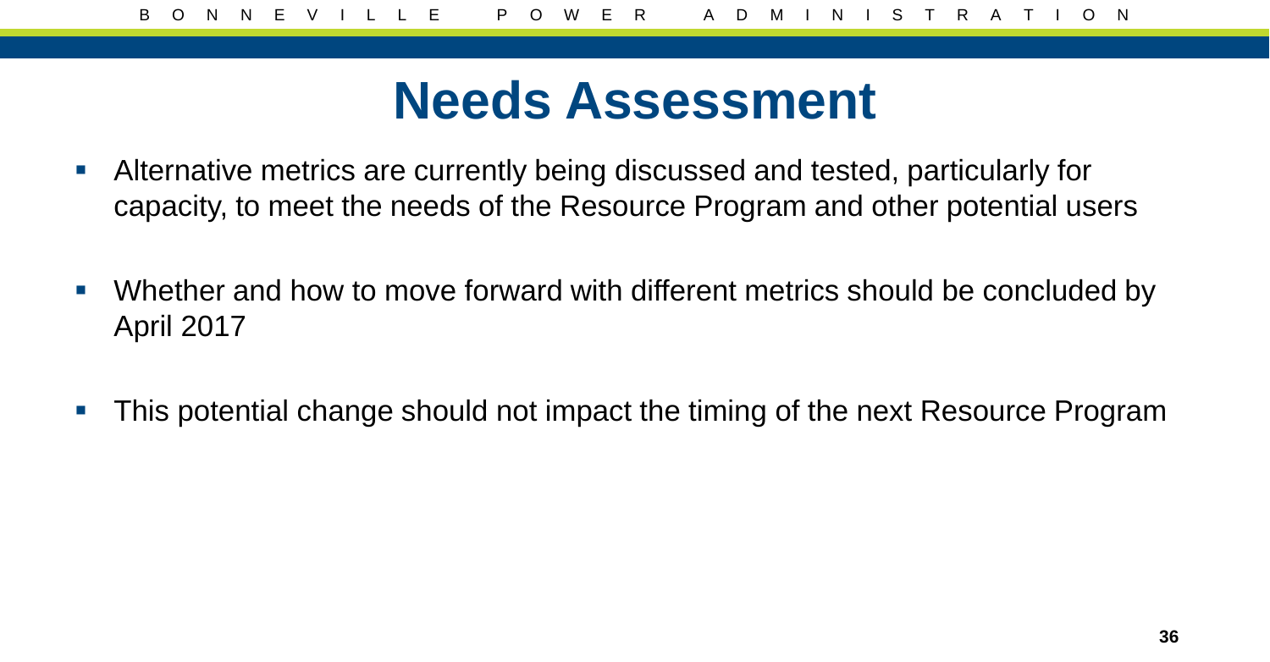#### **Needs Assessment**

- Alternative metrics are currently being discussed and tested, particularly for capacity, to meet the needs of the Resource Program and other potential users
- Whether and how to move forward with different metrics should be concluded by April 2017
- This potential change should not impact the timing of the next Resource Program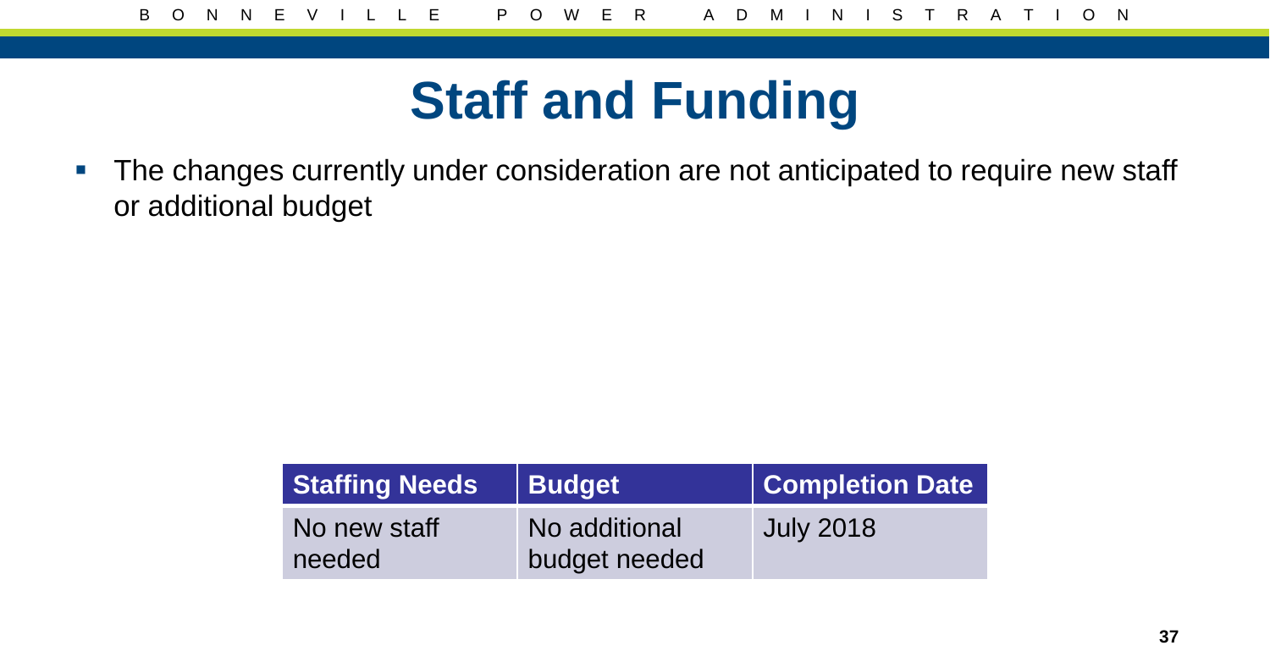### **Staff and Funding**

**The changes currently under consideration are not anticipated to require new staff** or additional budget

| <b>Staffing Needs</b>  | <b>Budget</b>                  | Completion Date  |  |  |  |  |  |
|------------------------|--------------------------------|------------------|--|--|--|--|--|
| No new staff<br>needed | No additional<br>budget needed | <b>July 2018</b> |  |  |  |  |  |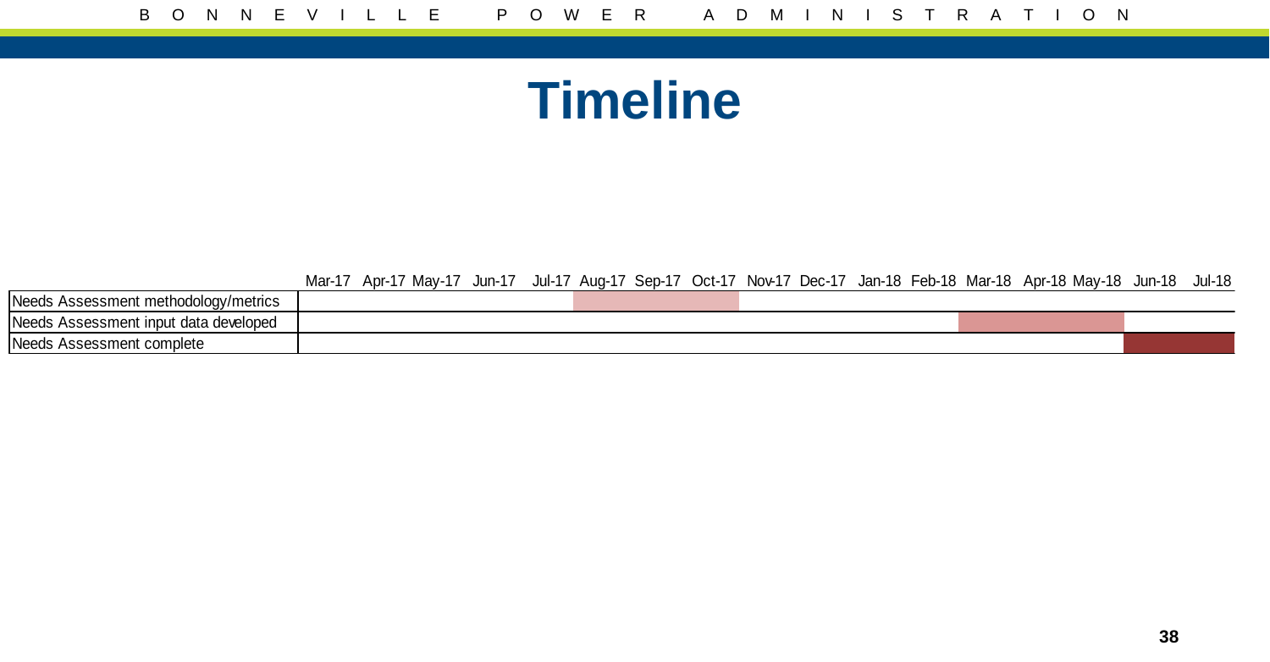#### **Timeline**

Mar-17 Apr-17 May-17 Jun-17 Jul-17 Aug-17 Sep-17 Oct-17 Nov-17 Dec-17 Jan-18 Feb-18 Mar-18 Apr-18 May-18 Jun-18 Jul-18

| Needs<br>: methodoloav/metrics<br>000<br>'cmon<br>וסוו           |  |  |  |
|------------------------------------------------------------------|--|--|--|
| Needs<br>data developed<br>⊸emart<br>: inbut:<br>0.000<br>.<br>. |  |  |  |
| <b>Needs</b><br>ssessment complete_                              |  |  |  |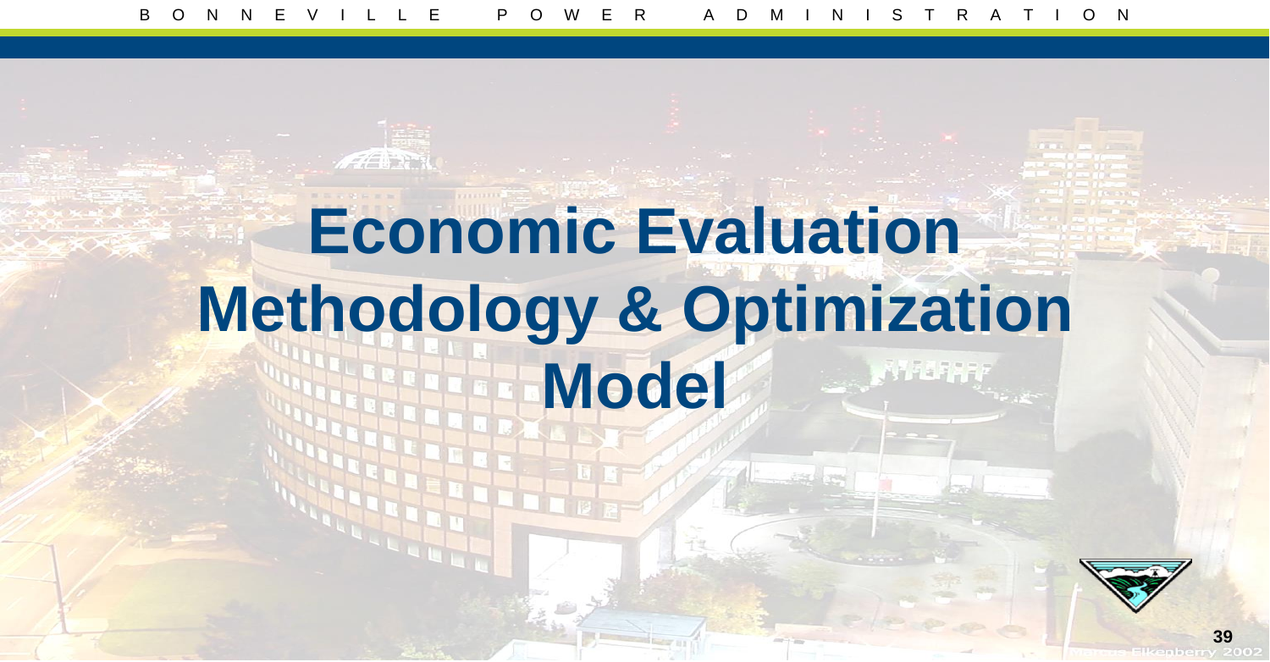## **Economic Evaluation Methodology & Optimization Model**

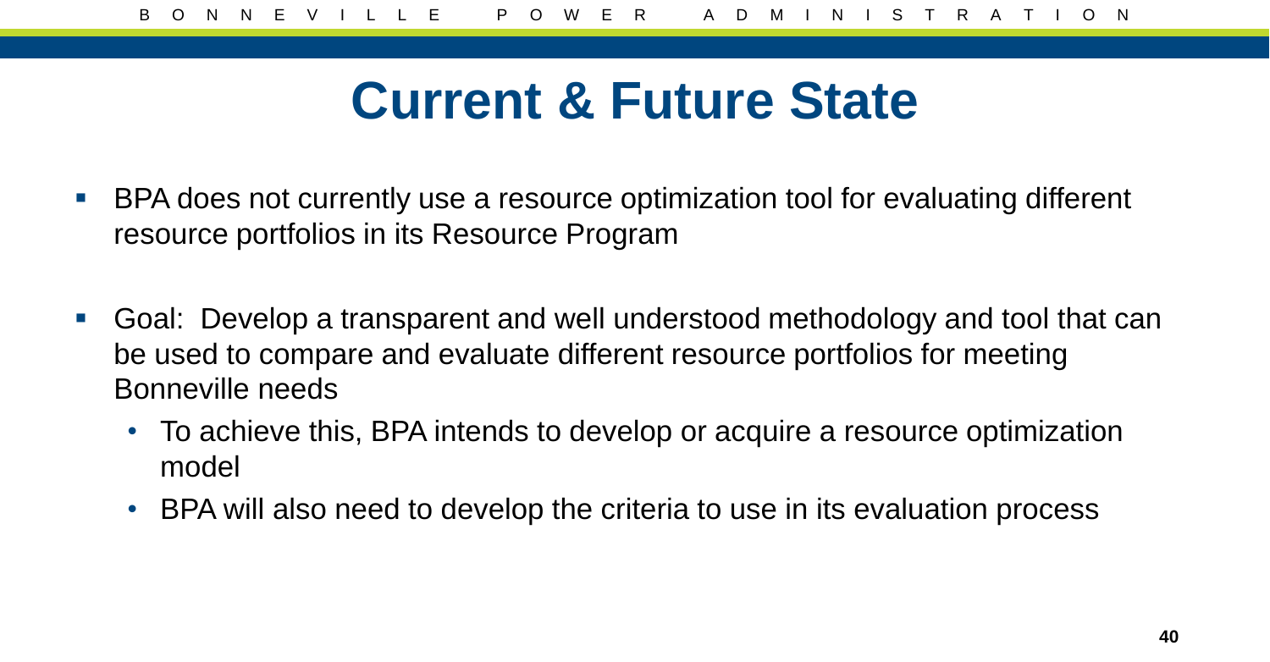#### **Current & Future State**

- BPA does not currently use a resource optimization tool for evaluating different resource portfolios in its Resource Program
- Goal: Develop a transparent and well understood methodology and tool that can be used to compare and evaluate different resource portfolios for meeting Bonneville needs
	- To achieve this, BPA intends to develop or acquire a resource optimization model
	- BPA will also need to develop the criteria to use in its evaluation process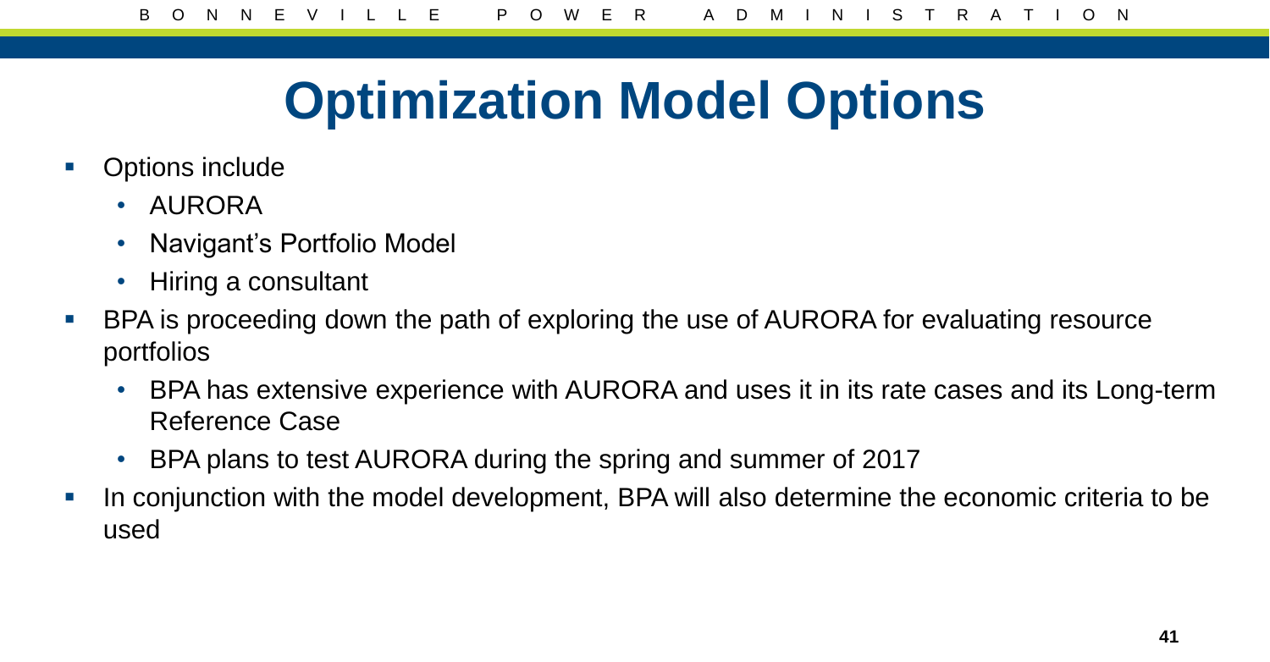## **Optimization Model Options**

- Options include
	- AURORA
	- Navigant's Portfolio Model
	- Hiring a consultant
- **BPA** is proceeding down the path of exploring the use of AURORA for evaluating resource portfolios
	- BPA has extensive experience with AURORA and uses it in its rate cases and its Long-term Reference Case
	- BPA plans to test AURORA during the spring and summer of 2017
- In conjunction with the model development, BPA will also determine the economic criteria to be used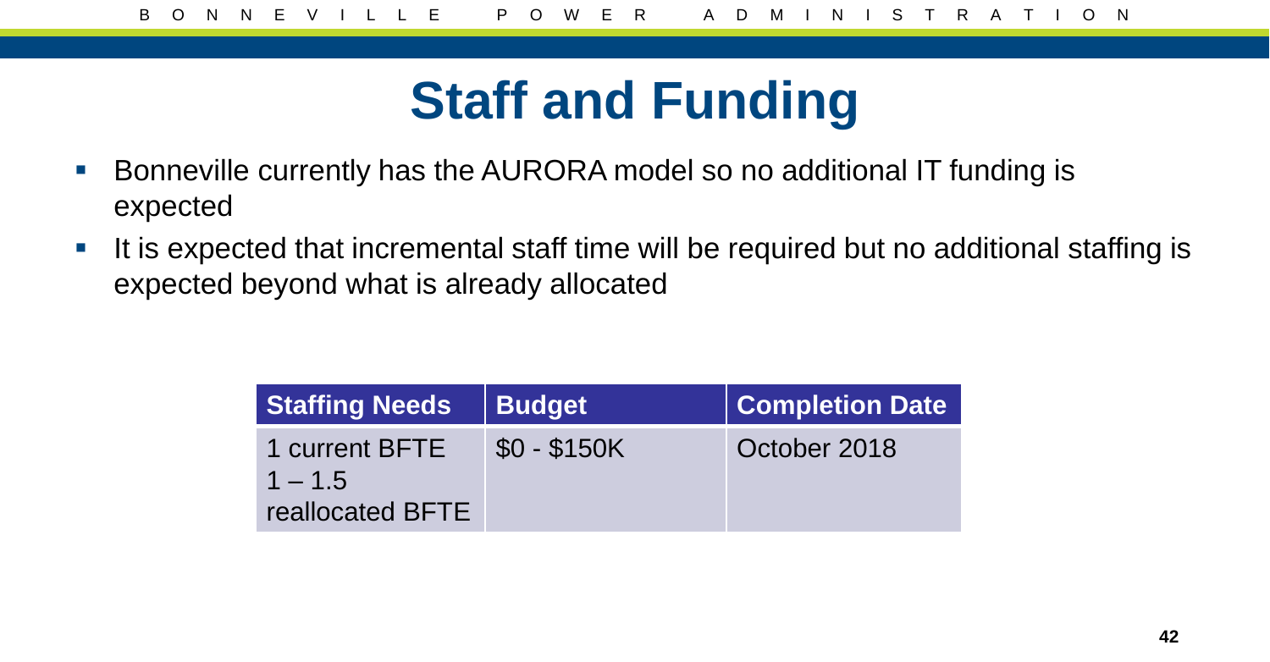## **Staff and Funding**

- Bonneville currently has the AURORA model so no additional IT funding is expected
- It is expected that incremental staff time will be required but no additional staffing is expected beyond what is already allocated

| <b>Staffing Needs</b>                                  | <b>Budget</b> | <b>Completion Date</b> |
|--------------------------------------------------------|---------------|------------------------|
| 1 current BFTE<br>$1 - 1.5$<br><b>reallocated BFTE</b> | $$0 - $150K$  | October 2018           |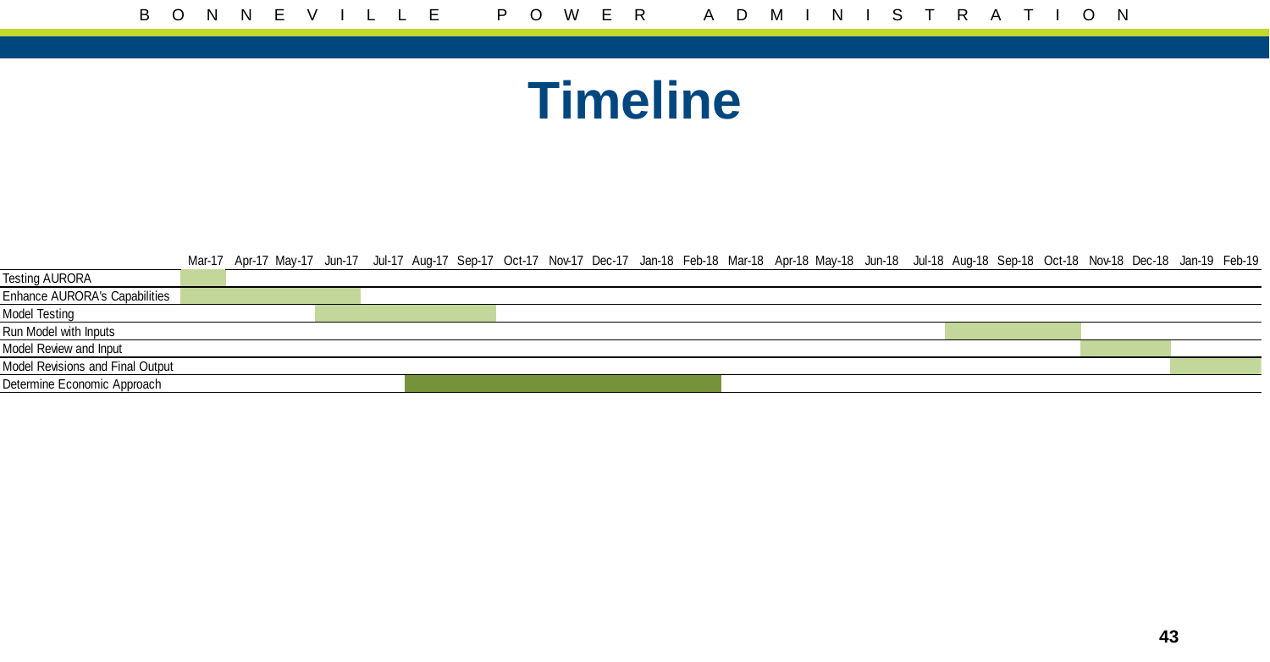#### **Timeline**

|                                      | Mar-17 Apr-17 May-17 Jun-17 Jul-17 Aug-17 Sep-17 Oct-17 Nov-17 Dec-17 Jan-18 Feb-18 Mar-18 Apr-18 May-18 Jul-18 Aug-18 Sep-18 Oct-18 Nov-18 Dec-18 Jan-19 Feb-19 |  |  |  |  |  |  |  |  |  |
|--------------------------------------|------------------------------------------------------------------------------------------------------------------------------------------------------------------|--|--|--|--|--|--|--|--|--|
| <b>Testing AURORA</b>                |                                                                                                                                                                  |  |  |  |  |  |  |  |  |  |
| <b>Enhance AURORA's Capabilities</b> |                                                                                                                                                                  |  |  |  |  |  |  |  |  |  |
| Model Testing                        |                                                                                                                                                                  |  |  |  |  |  |  |  |  |  |
| Run Model with Inputs                |                                                                                                                                                                  |  |  |  |  |  |  |  |  |  |
| Model Review and Input               |                                                                                                                                                                  |  |  |  |  |  |  |  |  |  |
| Model Revisions and Final Output     |                                                                                                                                                                  |  |  |  |  |  |  |  |  |  |
| Determine Economic Approach          |                                                                                                                                                                  |  |  |  |  |  |  |  |  |  |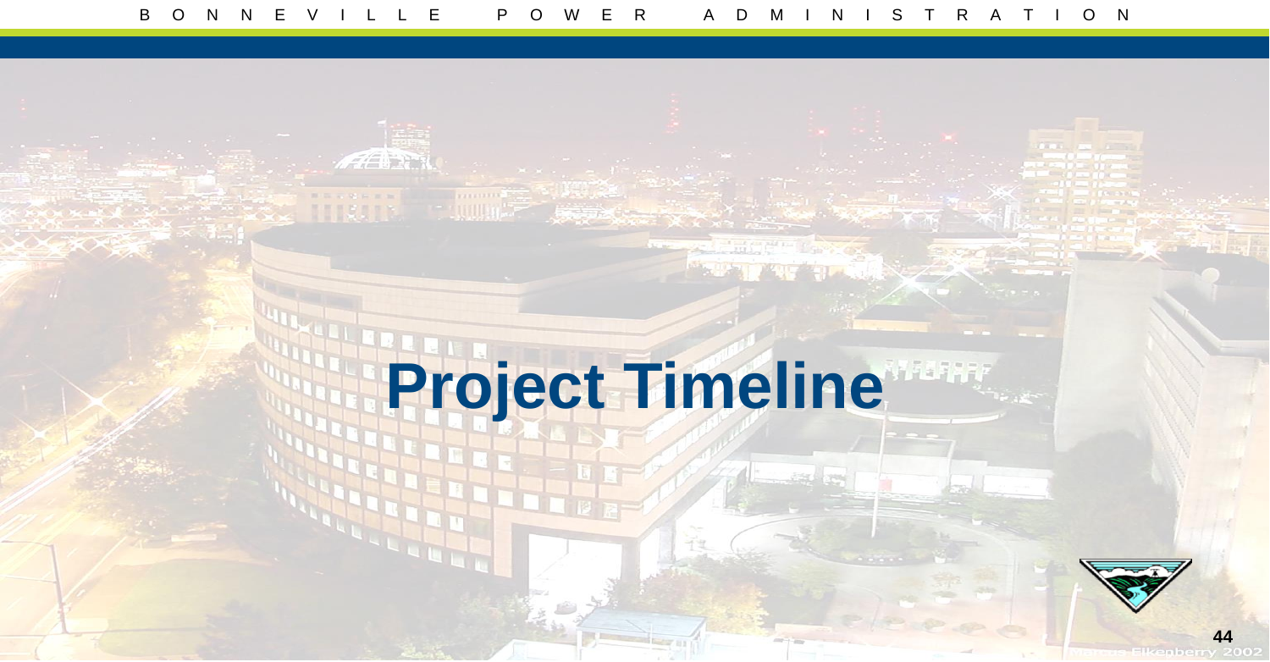$\mathscr{L}$  ,  $\mathscr{L}$  ,  $\mathscr{L}$ 

# **Project Timeline**

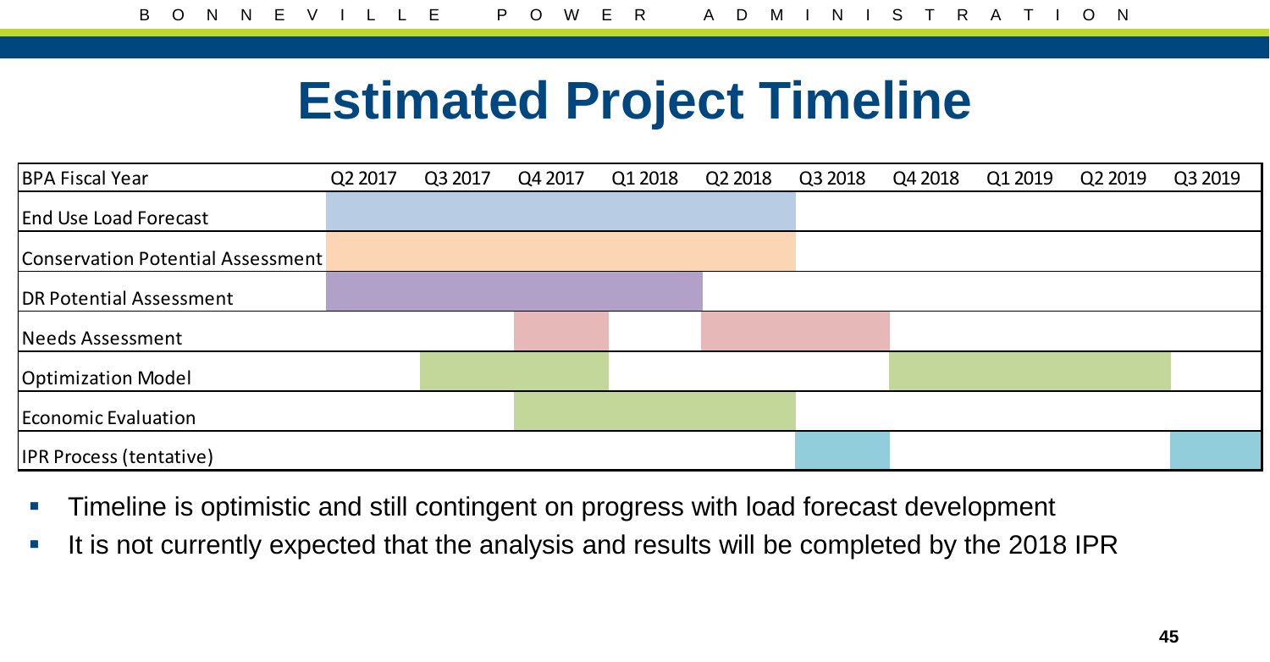### **Estimated Project Timeline**

| <b>BPA Fiscal Year</b>            | Q2 2017 | Q3 2017 | Q4 2017 | Q1 2018 | Q2 2018 | Q3 2018 | Q4 2018 | Q1 2019 | Q2 2019 | Q3 2019 |
|-----------------------------------|---------|---------|---------|---------|---------|---------|---------|---------|---------|---------|
| <b>End Use Load Forecast</b>      |         |         |         |         |         |         |         |         |         |         |
| Conservation Potential Assessment |         |         |         |         |         |         |         |         |         |         |
| DR Potential Assessment           |         |         |         |         |         |         |         |         |         |         |
| Needs Assessment                  |         |         |         |         |         |         |         |         |         |         |
| <b>Optimization Model</b>         |         |         |         |         |         |         |         |         |         |         |
| Economic Evaluation               |         |         |         |         |         |         |         |         |         |         |
| <b>IPR Process (tentative)</b>    |         |         |         |         |         |         |         |         |         |         |

- Timeline is optimistic and still contingent on progress with load forecast development
- It is not currently expected that the analysis and results will be completed by the 2018 IPR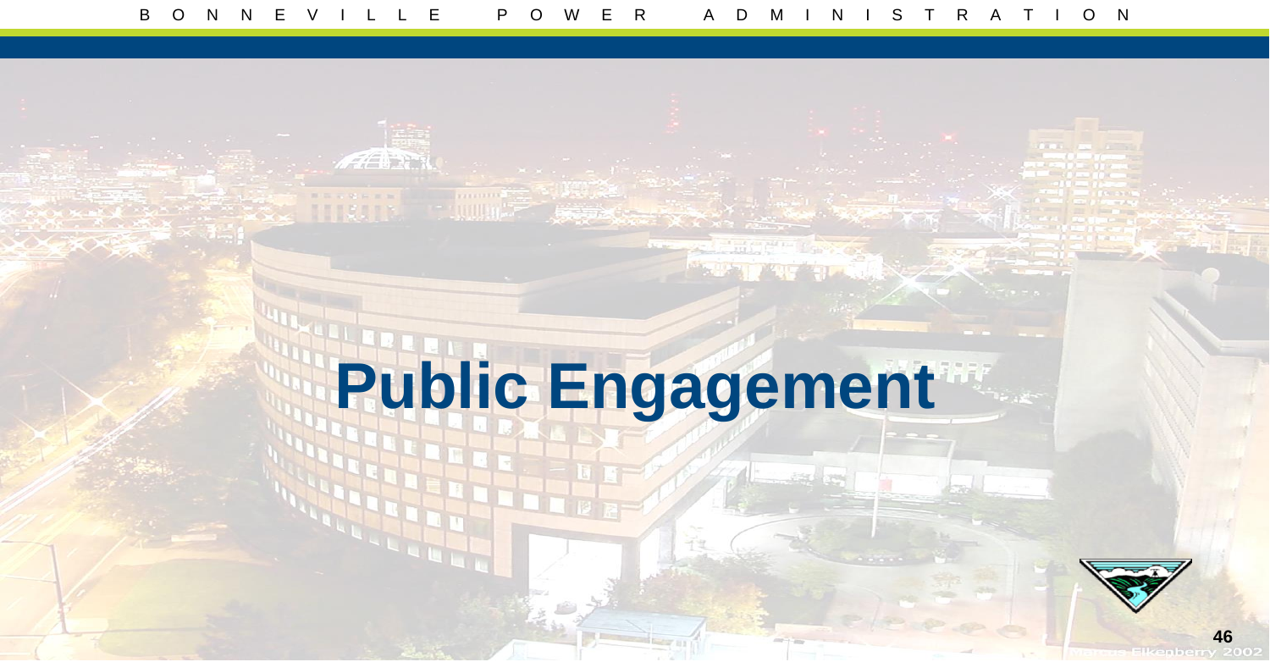$\mathscr{F}$  and  $\mathscr{F}$ 

# **Public Engagement**

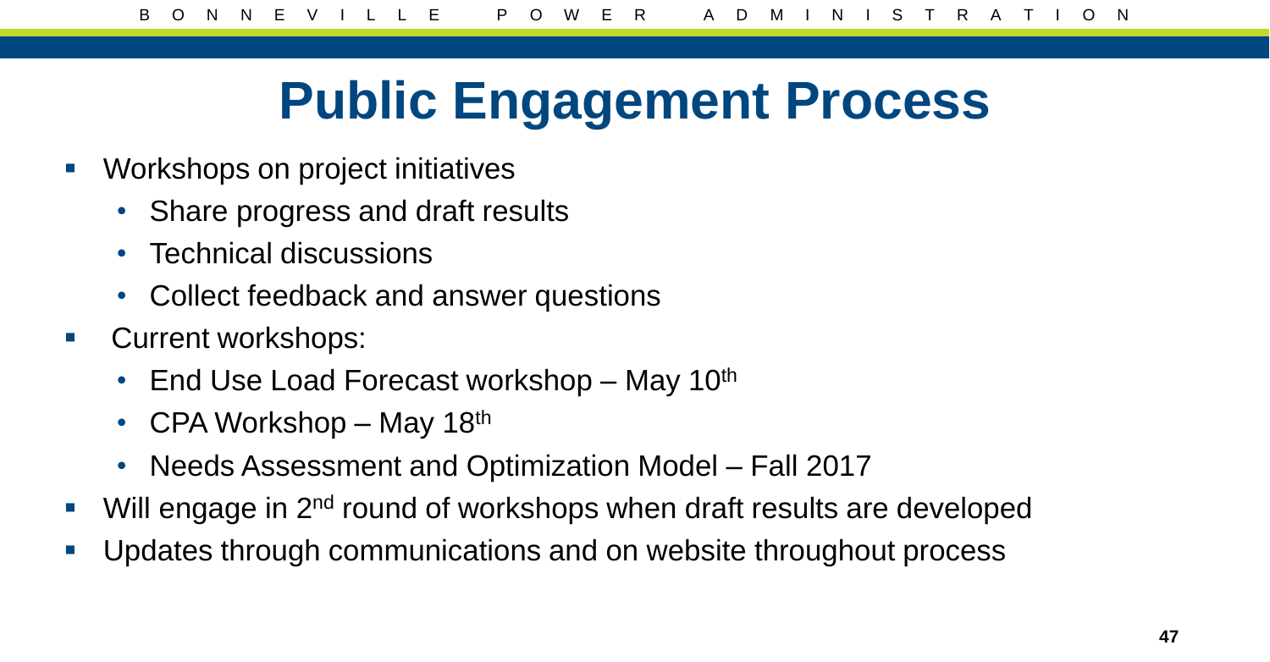## **Public Engagement Process**

- **Workshops on project initiatives** 
	- Share progress and draft results
	- Technical discussions
	- Collect feedback and answer questions
- **Current workshops:** 
	- End Use Load Forecast workshop May  $10<sup>th</sup>$
	- CPA Workshop May 18th
	- Needs Assessment and Optimization Model Fall 2017
- $\blacksquare$  Will engage in 2<sup>nd</sup> round of workshops when draft results are developed
- Updates through communications and on website throughout process